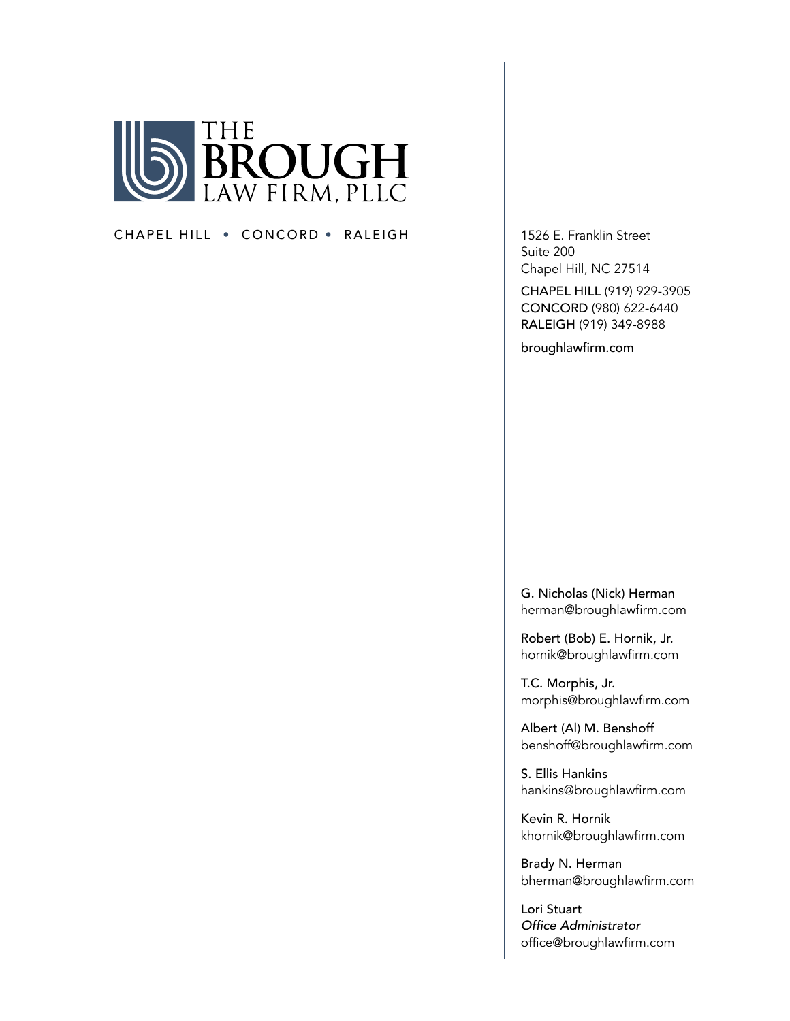

#### CHAPEL HILL • CONCORD • RALEIGH 1526 E. Franklin Street

Suite 200 Chapel Hill, NC 27514

CHAPEL HILL (919) 929-3905 CONCORD (980) 622-6440 RALEIGH (919) 349-8988

broughlawfirm.com

G. Nicholas (Nick) Herman herman@broughlawfirm.com

Robert (Bob) E. Hornik, Jr. hornik@broughlawfirm.com

T.C. Morphis, Jr. morphis@broughlawfirm.com

Albert (Al) M. Benshoff benshoff@broughlawfirm.com

S. Ellis Hankins hankins@broughlawfirm.com

Kevin R. Hornik khornik@broughlawfirm.com

Brady N. Herman bherman@broughlawfirm.com

Lori Stuart Office Administrator office@broughlawfirm.com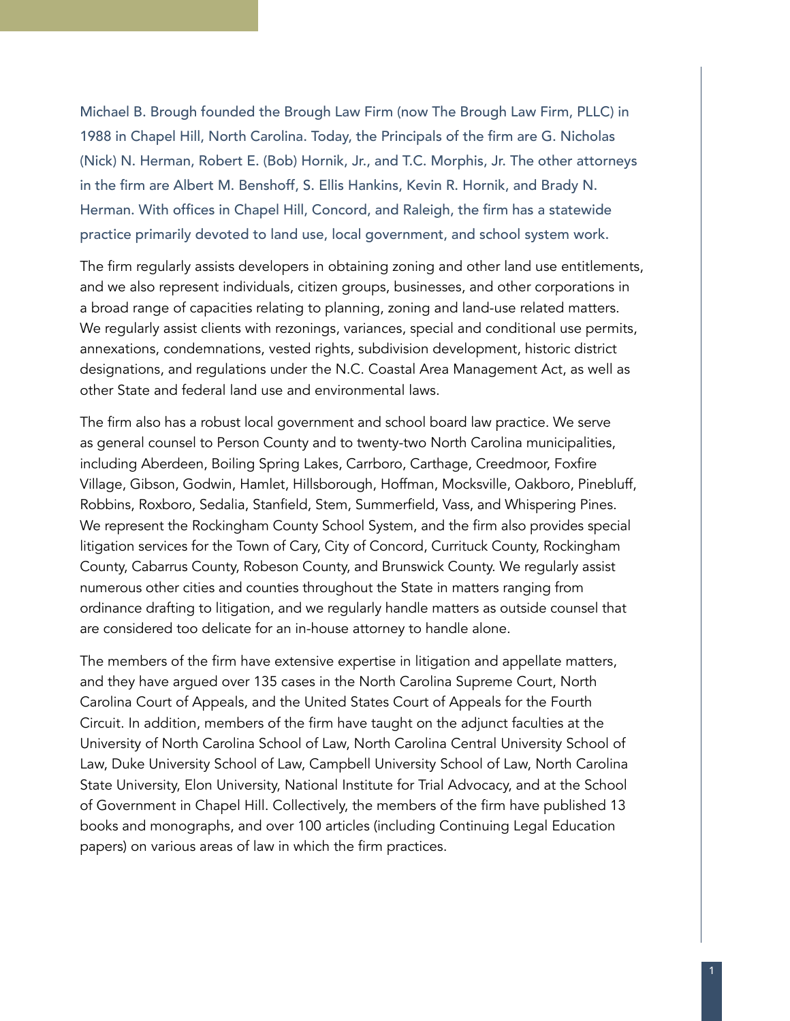Michael B. Brough founded the Brough Law Firm (now The Brough Law Firm, PLLC) in 1988 in Chapel Hill, North Carolina. Today, the Principals of the firm are G. Nicholas (Nick) N. Herman, Robert E. (Bob) Hornik, Jr., and T.C. Morphis, Jr. The other attorneys in the firm are Albert M. Benshoff, S. Ellis Hankins, Kevin R. Hornik, and Brady N. Herman. With offices in Chapel Hill, Concord, and Raleigh, the firm has a statewide practice primarily devoted to land use, local government, and school system work.

The firm regularly assists developers in obtaining zoning and other land use entitlements, and we also represent individuals, citizen groups, businesses, and other corporations in a broad range of capacities relating to planning, zoning and land-use related matters. We regularly assist clients with rezonings, variances, special and conditional use permits, annexations, condemnations, vested rights, subdivision development, historic district designations, and regulations under the N.C. Coastal Area Management Act, as well as other State and federal land use and environmental laws.

The firm also has a robust local government and school board law practice. We serve as general counsel to Person County and to twenty-two North Carolina municipalities, including Aberdeen, Boiling Spring Lakes, Carrboro, Carthage, Creedmoor, Foxfire Village, Gibson, Godwin, Hamlet, Hillsborough, Hoffman, Mocksville, Oakboro, Pinebluff, Robbins, Roxboro, Sedalia, Stanfield, Stem, Summerfield, Vass, and Whispering Pines. We represent the Rockingham County School System, and the firm also provides special litigation services for the Town of Cary, City of Concord, Currituck County, Rockingham County, Cabarrus County, Robeson County, and Brunswick County. We regularly assist numerous other cities and counties throughout the State in matters ranging from ordinance drafting to litigation, and we regularly handle matters as outside counsel that are considered too delicate for an in-house attorney to handle alone.

The members of the firm have extensive expertise in litigation and appellate matters, and they have argued over 135 cases in the North Carolina Supreme Court, North Carolina Court of Appeals, and the United States Court of Appeals for the Fourth Circuit. In addition, members of the firm have taught on the adjunct faculties at the University of North Carolina School of Law, North Carolina Central University School of Law, Duke University School of Law, Campbell University School of Law, North Carolina State University, Elon University, National Institute for Trial Advocacy, and at the School of Government in Chapel Hill. Collectively, the members of the firm have published 13 books and monographs, and over 100 articles (including Continuing Legal Education papers) on various areas of law in which the firm practices.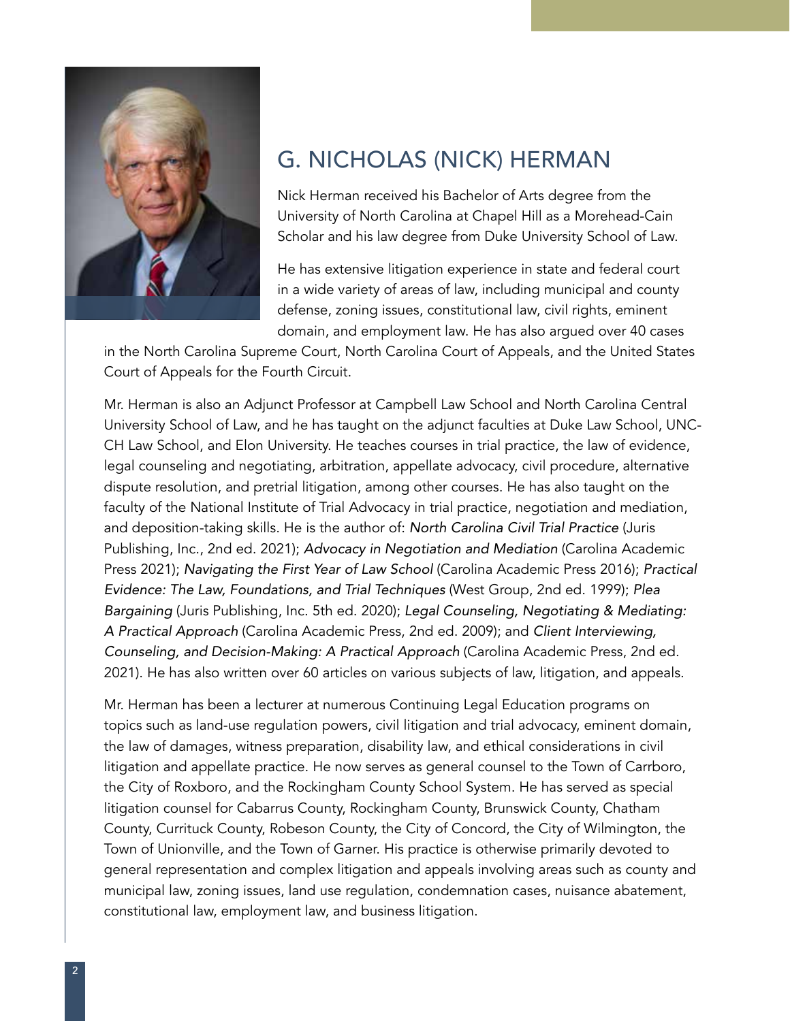

## G. NICHOLAS (NICK) HERMAN

Nick Herman received his Bachelor of Arts degree from the University of North Carolina at Chapel Hill as a Morehead-Cain Scholar and his law degree from Duke University School of Law.

He has extensive litigation experience in state and federal court in a wide variety of areas of law, including municipal and county defense, zoning issues, constitutional law, civil rights, eminent domain, and employment law. He has also argued over 40 cases

in the North Carolina Supreme Court, North Carolina Court of Appeals, and the United States Court of Appeals for the Fourth Circuit.

Mr. Herman is also an Adjunct Professor at Campbell Law School and North Carolina Central University School of Law, and he has taught on the adjunct faculties at Duke Law School, UNC-CH Law School, and Elon University. He teaches courses in trial practice, the law of evidence, legal counseling and negotiating, arbitration, appellate advocacy, civil procedure, alternative dispute resolution, and pretrial litigation, among other courses. He has also taught on the faculty of the National Institute of Trial Advocacy in trial practice, negotiation and mediation, and deposition-taking skills. He is the author of: *North Carolina Civil Trial Practice* (Juris Publishing, Inc., 2nd ed. 2021); *Advocacy in Negotiation and Mediation* (Carolina Academic Press 2021); *Navigating the First Year of Law School* (Carolina Academic Press 2016); *Practical Evidence: The Law, Foundations, and Trial Techniques* (West Group, 2nd ed. 1999); *Plea Bargaining* (Juris Publishing, Inc. 5th ed. 2020); *Legal Counseling, Negotiating & Mediating: A Practical Approach* (Carolina Academic Press, 2nd ed. 2009); and *Client Interviewing, Counseling, and Decision-Making: A Practical Approach* (Carolina Academic Press, 2nd ed. 2021). He has also written over 60 articles on various subjects of law, litigation, and appeals.

Mr. Herman has been a lecturer at numerous Continuing Legal Education programs on topics such as land-use regulation powers, civil litigation and trial advocacy, eminent domain, the law of damages, witness preparation, disability law, and ethical considerations in civil litigation and appellate practice. He now serves as general counsel to the Town of Carrboro, the City of Roxboro, and the Rockingham County School System. He has served as special litigation counsel for Cabarrus County, Rockingham County, Brunswick County, Chatham County, Currituck County, Robeson County, the City of Concord, the City of Wilmington, the Town of Unionville, and the Town of Garner. His practice is otherwise primarily devoted to general representation and complex litigation and appeals involving areas such as county and municipal law, zoning issues, land use regulation, condemnation cases, nuisance abatement, constitutional law, employment law, and business litigation.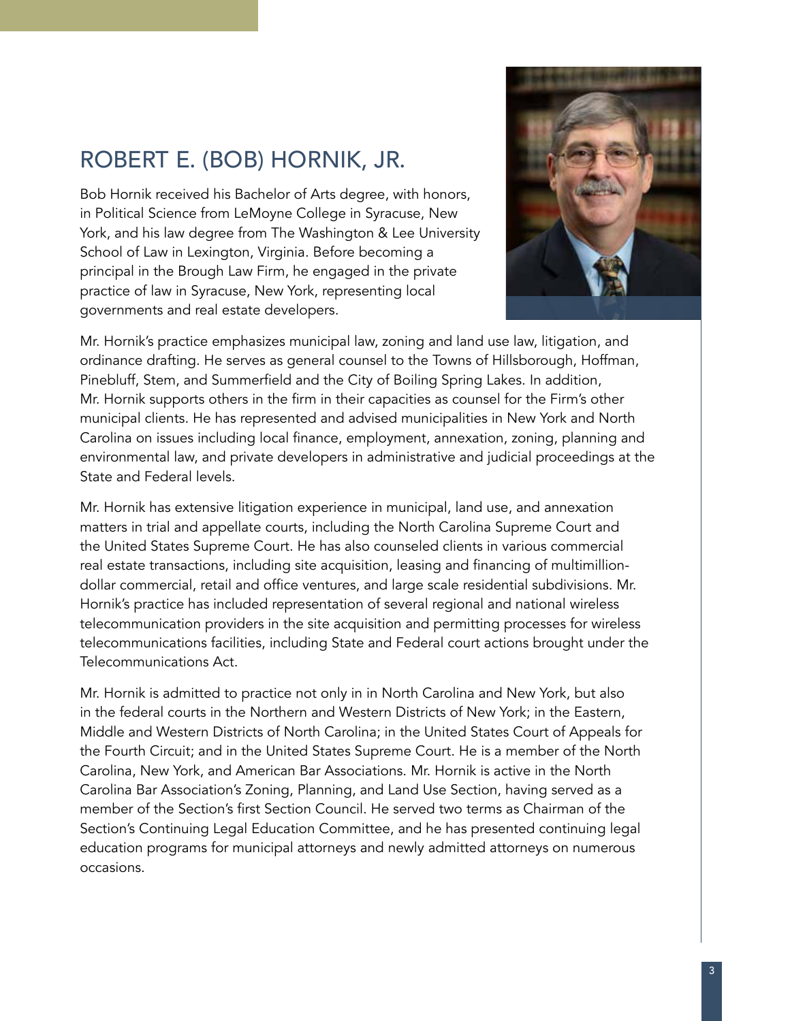# ROBERT E. (BOB) HORNIK, JR.

Bob Hornik received his Bachelor of Arts degree, with honors, in Political Science from LeMoyne College in Syracuse, New York, and his law degree from The Washington & Lee University School of Law in Lexington, Virginia. Before becoming a principal in the Brough Law Firm, he engaged in the private practice of law in Syracuse, New York, representing local governments and real estate developers.



Mr. Hornik's practice emphasizes municipal law, zoning and land use law, litigation, and ordinance drafting. He serves as general counsel to the Towns of Hillsborough, Hoffman, Pinebluff, Stem, and Summerfield and the City of Boiling Spring Lakes. In addition, Mr. Hornik supports others in the firm in their capacities as counsel for the Firm's other municipal clients. He has represented and advised municipalities in New York and North Carolina on issues including local finance, employment, annexation, zoning, planning and environmental law, and private developers in administrative and judicial proceedings at the State and Federal levels.

Mr. Hornik has extensive litigation experience in municipal, land use, and annexation matters in trial and appellate courts, including the North Carolina Supreme Court and the United States Supreme Court. He has also counseled clients in various commercial real estate transactions, including site acquisition, leasing and financing of multimilliondollar commercial, retail and office ventures, and large scale residential subdivisions. Mr. Hornik's practice has included representation of several regional and national wireless telecommunication providers in the site acquisition and permitting processes for wireless telecommunications facilities, including State and Federal court actions brought under the Telecommunications Act.

Mr. Hornik is admitted to practice not only in in North Carolina and New York, but also in the federal courts in the Northern and Western Districts of New York; in the Eastern, Middle and Western Districts of North Carolina; in the United States Court of Appeals for the Fourth Circuit; and in the United States Supreme Court. He is a member of the North Carolina, New York, and American Bar Associations. Mr. Hornik is active in the North Carolina Bar Association's Zoning, Planning, and Land Use Section, having served as a member of the Section's first Section Council. He served two terms as Chairman of the Section's Continuing Legal Education Committee, and he has presented continuing legal education programs for municipal attorneys and newly admitted attorneys on numerous occasions.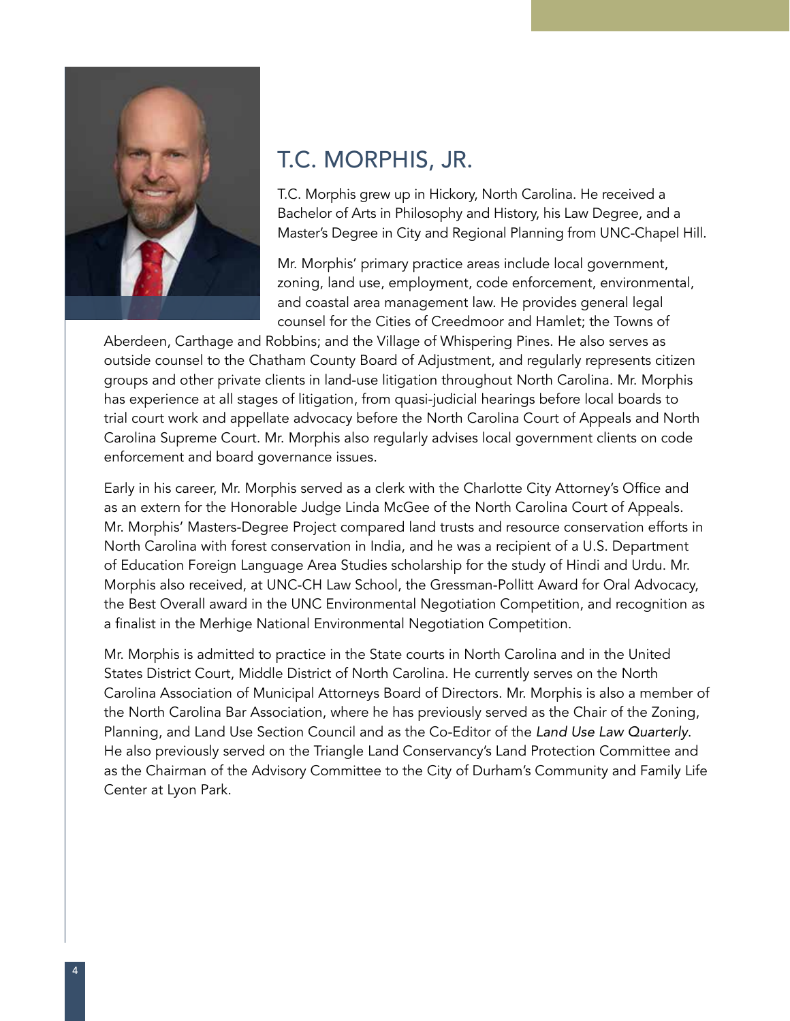

## T.C. MORPHIS, JR.

T.C. Morphis grew up in Hickory, North Carolina. He received a Bachelor of Arts in Philosophy and History, his Law Degree, and a Master's Degree in City and Regional Planning from UNC-Chapel Hill.

Mr. Morphis' primary practice areas include local government, zoning, land use, employment, code enforcement, environmental, and coastal area management law. He provides general legal counsel for the Cities of Creedmoor and Hamlet; the Towns of

Aberdeen, Carthage and Robbins; and the Village of Whispering Pines. He also serves as outside counsel to the Chatham County Board of Adjustment, and regularly represents citizen groups and other private clients in land-use litigation throughout North Carolina. Mr. Morphis has experience at all stages of litigation, from quasi-judicial hearings before local boards to trial court work and appellate advocacy before the North Carolina Court of Appeals and North Carolina Supreme Court. Mr. Morphis also regularly advises local government clients on code enforcement and board governance issues.

Early in his career, Mr. Morphis served as a clerk with the Charlotte City Attorney's Office and as an extern for the Honorable Judge Linda McGee of the North Carolina Court of Appeals. Mr. Morphis' Masters-Degree Project compared land trusts and resource conservation efforts in North Carolina with forest conservation in India, and he was a recipient of a U.S. Department of Education Foreign Language Area Studies scholarship for the study of Hindi and Urdu. Mr. Morphis also received, at UNC-CH Law School, the Gressman-Pollitt Award for Oral Advocacy, the Best Overall award in the UNC Environmental Negotiation Competition, and recognition as a finalist in the Merhige National Environmental Negotiation Competition.

Mr. Morphis is admitted to practice in the State courts in North Carolina and in the United States District Court, Middle District of North Carolina. He currently serves on the North Carolina Association of Municipal Attorneys Board of Directors. Mr. Morphis is also a member of the North Carolina Bar Association, where he has previously served as the Chair of the Zoning, Planning, and Land Use Section Council and as the Co-Editor of the *Land Use Law Quarterly*. He also previously served on the Triangle Land Conservancy's Land Protection Committee and as the Chairman of the Advisory Committee to the City of Durham's Community and Family Life Center at Lyon Park.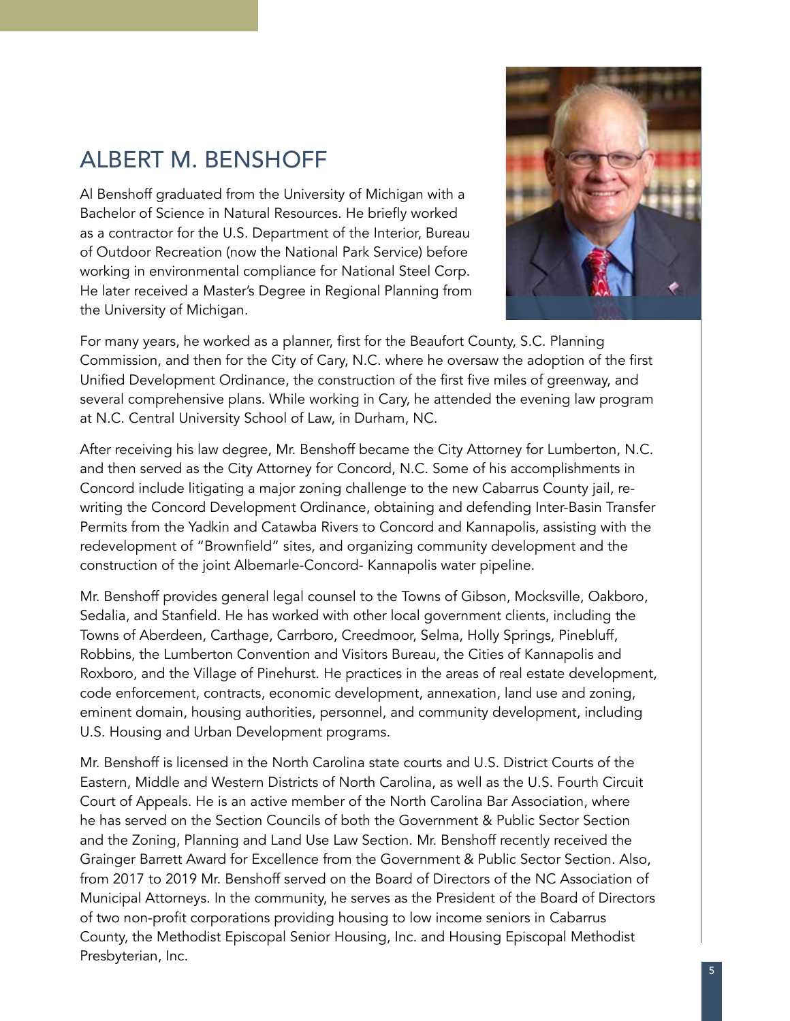## ALBERT M. BENSHOFF

Al Benshoff graduated from the University of Michigan with a Bachelor of Science in Natural Resources. He briefly worked as a contractor for the U.S. Department of the Interior, Bureau of Outdoor Recreation (now the National Park Service) before working in environmental compliance for National Steel Corp. He later received a Master's Degree in Regional Planning from the University of Michigan.



For many years, he worked as a planner, first for the Beaufort County, S.C. Planning Commission, and then for the City of Cary, N.C. where he oversaw the adoption of the first Unified Development Ordinance, the construction of the first five miles of greenway, and several comprehensive plans. While working in Cary, he attended the evening law program at N.C. Central University School of Law, in Durham, NC.

After receiving his law degree, Mr. Benshoff became the City Attorney for Lumberton, N.C. and then served as the City Attorney for Concord, N.C. Some of his accomplishments in Concord include litigating a major zoning challenge to the new Cabarrus County jail, rewriting the Concord Development Ordinance, obtaining and defending Inter-Basin Transfer Permits from the Yadkin and Catawba Rivers to Concord and Kannapolis, assisting with the redevelopment of "Brownfield" sites, and organizing community development and the construction of the joint Albemarle-Concord- Kannapolis water pipeline.

Mr. Benshoff provides general legal counsel to the Towns of Gibson, Mocksville, Oakboro, Sedalia, and Stanfield. He has worked with other local government clients, including the Towns of Aberdeen, Carthage, Carrboro, Creedmoor, Selma, Holly Springs, Pinebluff, Robbins, the Lumberton Convention and Visitors Bureau, the Cities of Kannapolis and Roxboro, and the Village of Pinehurst. He practices in the areas of real estate development, code enforcement, contracts, economic development, annexation, land use and zoning, eminent domain, housing authorities, personnel, and community development, including U.S. Housing and Urban Development programs.

Mr. Benshoff is licensed in the North Carolina state courts and U.S. District Courts of the Eastern, Middle and Western Districts of North Carolina, as well as the U.S. Fourth Circuit Court of Appeals. He is an active member of the North Carolina Bar Association, where he has served on the Section Councils of both the Government & Public Sector Section and the Zoning, Planning and Land Use Law Section. Mr. Benshoff recently received the Grainger Barrett Award for Excellence from the Government & Public Sector Section. Also, from 2017 to 2019 Mr. Benshoff served on the Board of Directors of the NC Association of Municipal Attorneys. In the community, he serves as the President of the Board of Directors of two non-profit corporations providing housing to low income seniors in Cabarrus County, the Methodist Episcopal Senior Housing, Inc. and Housing Episcopal Methodist Presbyterian, Inc.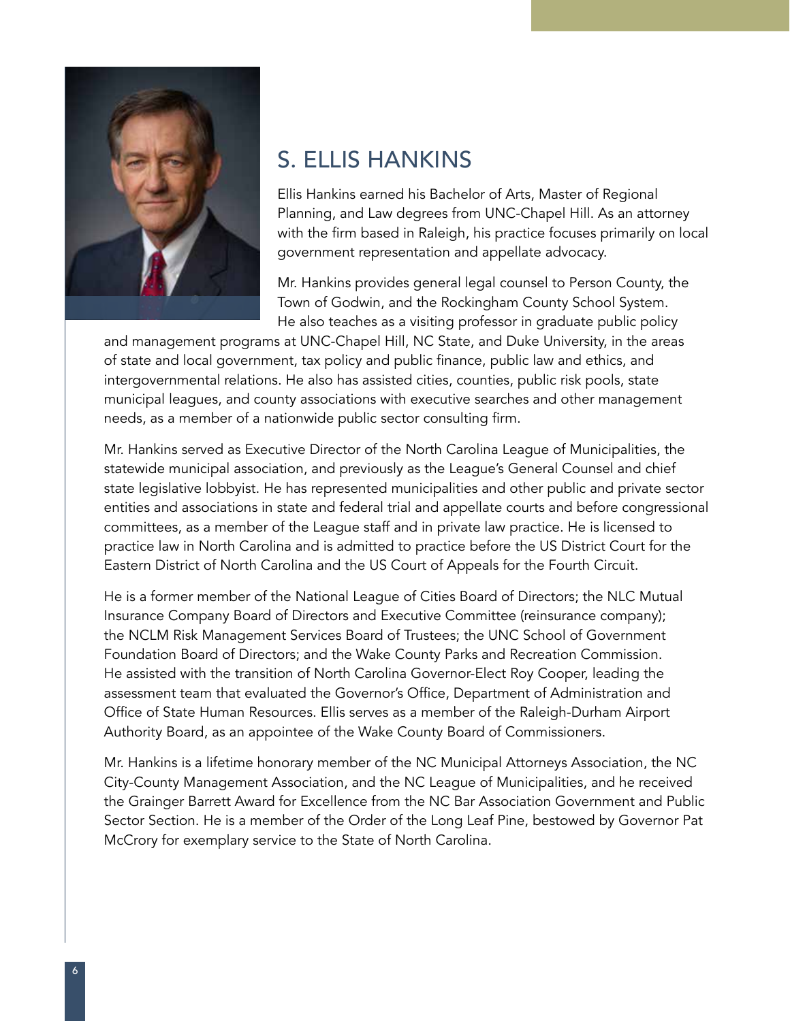

### S. ELLIS HANKINS

Ellis Hankins earned his Bachelor of Arts, Master of Regional Planning, and Law degrees from UNC-Chapel Hill. As an attorney with the firm based in Raleigh, his practice focuses primarily on local government representation and appellate advocacy.

Mr. Hankins provides general legal counsel to Person County, the Town of Godwin, and the Rockingham County School System. He also teaches as a visiting professor in graduate public policy

and management programs at UNC-Chapel Hill, NC State, and Duke University, in the areas of state and local government, tax policy and public finance, public law and ethics, and intergovernmental relations. He also has assisted cities, counties, public risk pools, state municipal leagues, and county associations with executive searches and other management needs, as a member of a nationwide public sector consulting firm.

Mr. Hankins served as Executive Director of the North Carolina League of Municipalities, the statewide municipal association, and previously as the League's General Counsel and chief state legislative lobbyist. He has represented municipalities and other public and private sector entities and associations in state and federal trial and appellate courts and before congressional committees, as a member of the League staff and in private law practice. He is licensed to practice law in North Carolina and is admitted to practice before the US District Court for the Eastern District of North Carolina and the US Court of Appeals for the Fourth Circuit.

He is a former member of the National League of Cities Board of Directors; the NLC Mutual Insurance Company Board of Directors and Executive Committee (reinsurance company); the NCLM Risk Management Services Board of Trustees; the UNC School of Government Foundation Board of Directors; and the Wake County Parks and Recreation Commission. He assisted with the transition of North Carolina Governor-Elect Roy Cooper, leading the assessment team that evaluated the Governor's Office, Department of Administration and Office of State Human Resources. Ellis serves as a member of the Raleigh-Durham Airport Authority Board, as an appointee of the Wake County Board of Commissioners.

Mr. Hankins is a lifetime honorary member of the NC Municipal Attorneys Association, the NC City-County Management Association, and the NC League of Municipalities, and he received the Grainger Barrett Award for Excellence from the NC Bar Association Government and Public Sector Section. He is a member of the Order of the Long Leaf Pine, bestowed by Governor Pat McCrory for exemplary service to the State of North Carolina.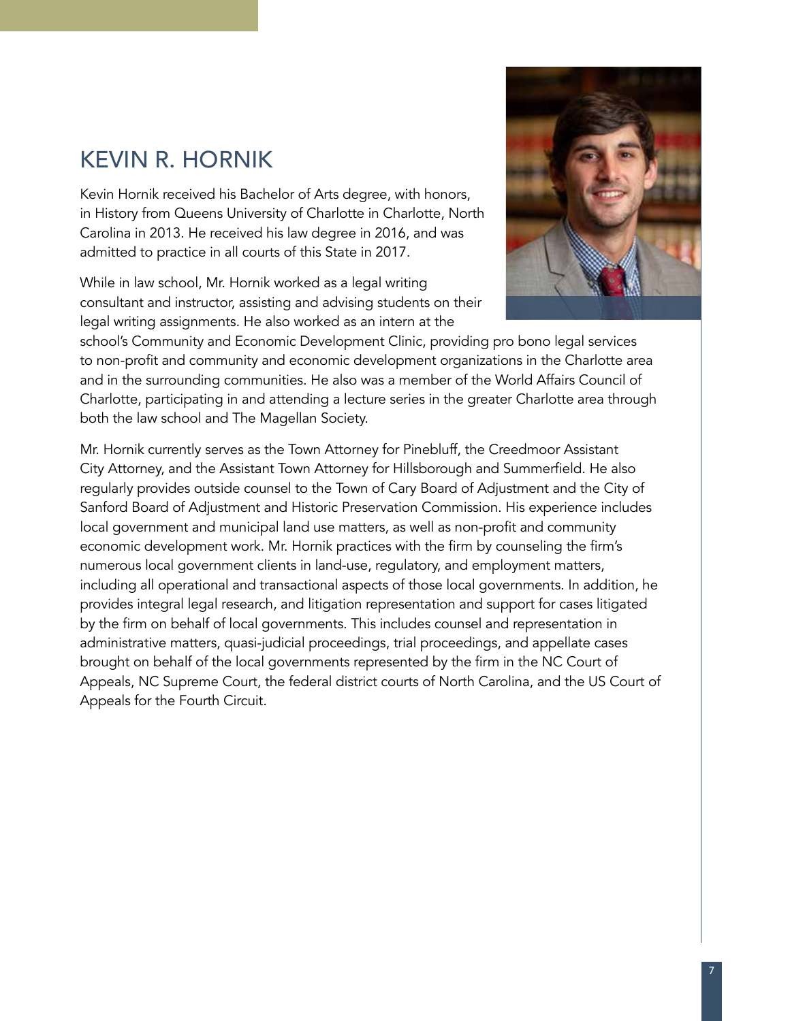## KEVIN R. HORNIK

Kevin Hornik received his Bachelor of Arts degree, with honors, in History from Queens University of Charlotte in Charlotte, North Carolina in 2013. He received his law degree in 2016, and was admitted to practice in all courts of this State in 2017.

While in law school, Mr. Hornik worked as a legal writing consultant and instructor, assisting and advising students on their legal writing assignments. He also worked as an intern at the



school's Community and Economic Development Clinic, providing pro bono legal services to non-profit and community and economic development organizations in the Charlotte area and in the surrounding communities. He also was a member of the World Affairs Council of Charlotte, participating in and attending a lecture series in the greater Charlotte area through both the law school and The Magellan Society.

Mr. Hornik currently serves as the Town Attorney for Pinebluff, the Creedmoor Assistant City Attorney, and the Assistant Town Attorney for Hillsborough and Summerfield. He also regularly provides outside counsel to the Town of Cary Board of Adjustment and the City of Sanford Board of Adjustment and Historic Preservation Commission. His experience includes local government and municipal land use matters, as well as non-profit and community economic development work. Mr. Hornik practices with the firm by counseling the firm's numerous local government clients in land-use, regulatory, and employment matters, including all operational and transactional aspects of those local governments. In addition, he provides integral legal research, and litigation representation and support for cases litigated by the firm on behalf of local governments. This includes counsel and representation in administrative matters, quasi-judicial proceedings, trial proceedings, and appellate cases brought on behalf of the local governments represented by the firm in the NC Court of Appeals, NC Supreme Court, the federal district courts of North Carolina, and the US Court of Appeals for the Fourth Circuit.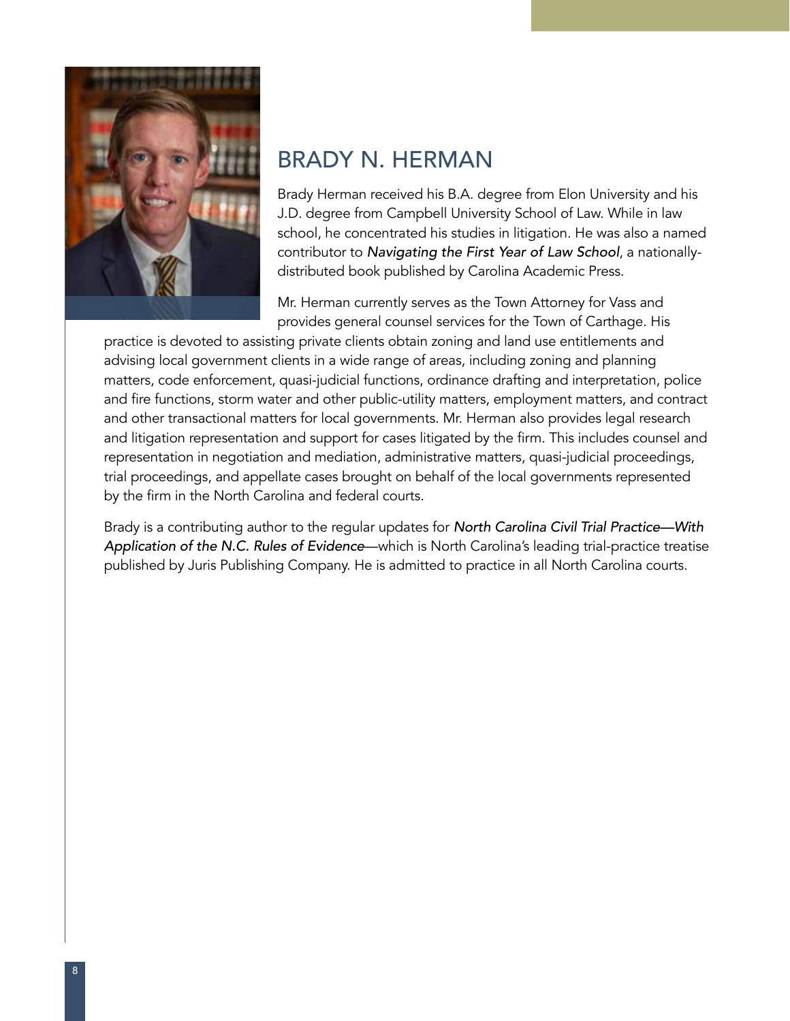

## BRADY N. HERMAN

Brady Herman received his B.A. degree from Elon University and his J.D. degree from Campbell University School of Law. While in law school, he concentrated his studies in litigation. He was also a named contributor to Navigating the First Year of Law School, a nationallydistributed book published by Carolina Academic Press.

Mr. Herman currently serves as the Town Attorney for Vass and provides general counsel services for the Town of Carthage. His

practice is devoted to assisting private clients obtain zoning and land use entitlements and advising local government clients in a wide range of areas, including zoning and planning matters, code enforcement, quasi-judicial functions, ordinance drafting and interpretation, police and fire functions, storm water and other public-utility matters, employment matters, and contract and other transactional matters for local governments. Mr. Herman also provides legal research and litigation representation and support for cases litigated by the firm. This includes counsel and representation in negotiation and mediation, administrative matters, quasi-judicial proceedings, trial proceedings, and appellate cases brought on behalf of the local governments represented by the firm in the North Carolina and federal courts.

Brady is a contributing author to the regular updates for North Carolina Civil Trial Practice—With Application of the N.C. Rules of Evidence—which is North Carolina's leading trial-practice treatise published by Juris Publishing Company. He is admitted to practice in all North Carolina courts.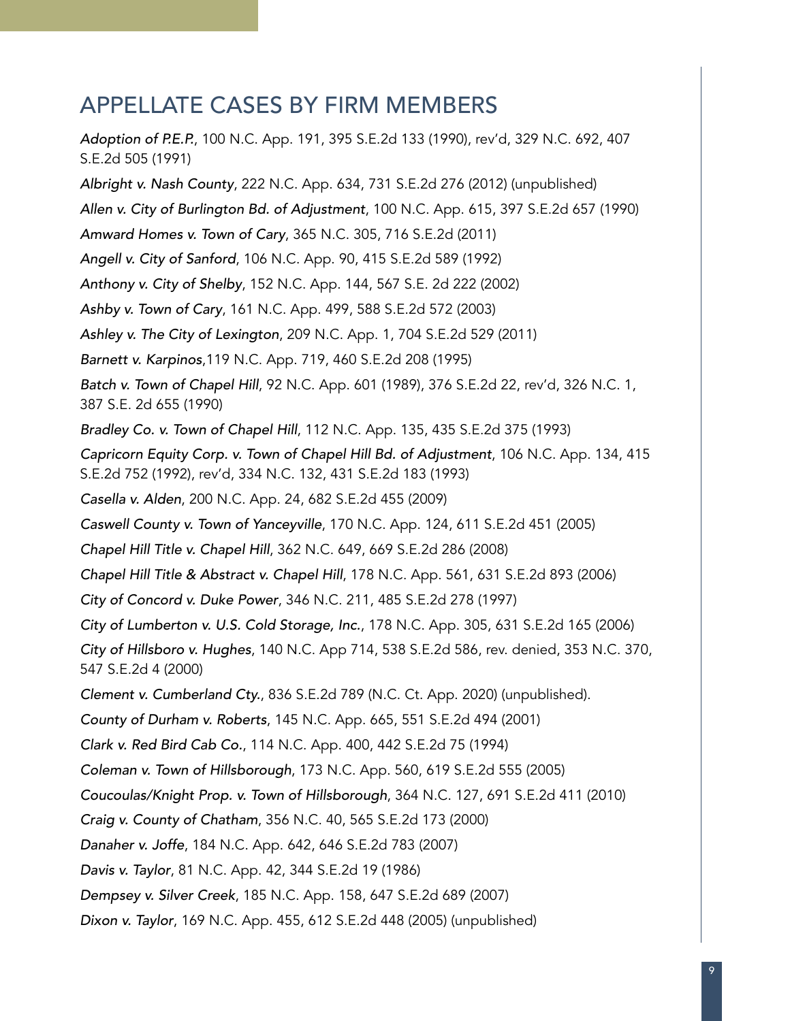### APPELLATE CASES BY FIRM MEMBERS

Adoption of P.E.P., 100 N.C. App. 191, 395 S.E.2d 133 (1990), rev'd, 329 N.C. 692, 407 S.E.2d 505 (1991) Albright v. Nash County, 222 N.C. App. 634, 731 S.E.2d 276 (2012) (unpublished) Allen v. City of Burlington Bd. of Adjustment, 100 N.C. App. 615, 397 S.E.2d 657 (1990) Amward Homes v. Town of Cary, 365 N.C. 305, 716 S.E.2d (2011) Angell v. City of Sanford, 106 N.C. App. 90, 415 S.E.2d 589 (1992) Anthony v. City of Shelby, 152 N.C. App. 144, 567 S.E. 2d 222 (2002) Ashby v. Town of Cary, 161 N.C. App. 499, 588 S.E.2d 572 (2003) Ashley v. The City of Lexington, 209 N.C. App. 1, 704 S.E.2d 529 (2011) Barnett v. Karpinos,119 N.C. App. 719, 460 S.E.2d 208 (1995) Batch v. Town of Chapel Hill, 92 N.C. App. 601 (1989), 376 S.E.2d 22, rev'd, 326 N.C. 1, 387 S.E. 2d 655 (1990) Bradley Co. v. Town of Chapel Hill, 112 N.C. App. 135, 435 S.E.2d 375 (1993) Capricorn Equity Corp. v. Town of Chapel Hill Bd. of Adjustment, 106 N.C. App. 134, 415 S.E.2d 752 (1992), rev'd, 334 N.C. 132, 431 S.E.2d 183 (1993) Casella v. Alden, 200 N.C. App. 24, 682 S.E.2d 455 (2009) Caswell County v. Town of Yanceyville, 170 N.C. App. 124, 611 S.E.2d 451 (2005) Chapel Hill Title v. Chapel Hill, 362 N.C. 649, 669 S.E.2d 286 (2008) Chapel Hill Title & Abstract v. Chapel Hill, 178 N.C. App. 561, 631 S.E.2d 893 (2006) City of Concord v. Duke Power, 346 N.C. 211, 485 S.E.2d 278 (1997) City of Lumberton v. U.S. Cold Storage, Inc., 178 N.C. App. 305, 631 S.E.2d 165 (2006) City of Hillsboro v. Hughes, 140 N.C. App 714, 538 S.E.2d 586, rev. denied, 353 N.C. 370, 547 S.E.2d 4 (2000) Clement v. Cumberland Cty., 836 S.E.2d 789 (N.C. Ct. App. 2020) (unpublished). County of Durham v. Roberts, 145 N.C. App. 665, 551 S.E.2d 494 (2001) Clark v. Red Bird Cab Co., 114 N.C. App. 400, 442 S.E.2d 75 (1994) Coleman v. Town of Hillsborough, 173 N.C. App. 560, 619 S.E.2d 555 (2005) Coucoulas/Knight Prop. v. Town of Hillsborough, 364 N.C. 127, 691 S.E.2d 411 (2010) Craig v. County of Chatham, 356 N.C. 40, 565 S.E.2d 173 (2000) Danaher v. Joffe, 184 N.C. App. 642, 646 S.E.2d 783 (2007) Davis v. Taylor, 81 N.C. App. 42, 344 S.E.2d 19 (1986) Dempsey v. Silver Creek, 185 N.C. App. 158, 647 S.E.2d 689 (2007) Dixon v. Taylor, 169 N.C. App. 455, 612 S.E.2d 448 (2005) (unpublished)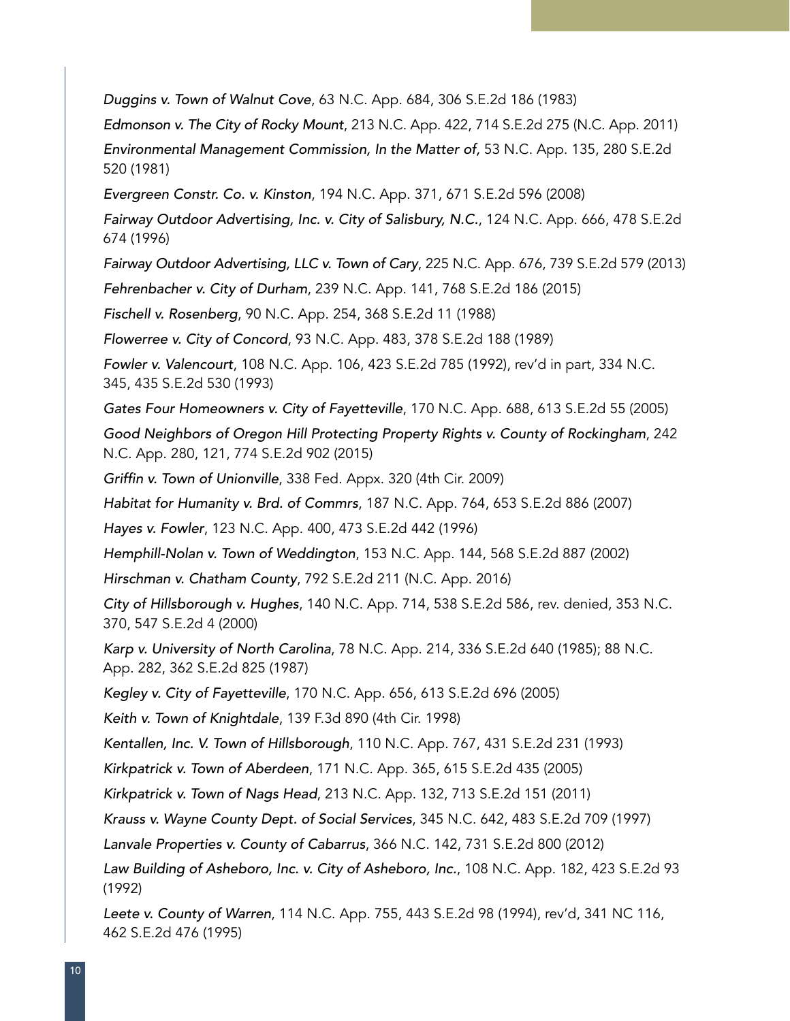Duggins v. Town of Walnut Cove, 63 N.C. App. 684, 306 S.E.2d 186 (1983)

Edmonson v. The City of Rocky Mount, 213 N.C. App. 422, 714 S.E.2d 275 (N.C. App. 2011)

Environmental Management Commission, In the Matter of, 53 N.C. App. 135, 280 S.E.2d 520 (1981)

Evergreen Constr. Co. v. Kinston, 194 N.C. App. 371, 671 S.E.2d 596 (2008)

Fairway Outdoor Advertising, Inc. v. City of Salisbury, N.C., 124 N.C. App. 666, 478 S.E.2d 674 (1996)

Fairway Outdoor Advertising, LLC v. Town of Cary, 225 N.C. App. 676, 739 S.E.2d 579 (2013)

Fehrenbacher v. City of Durham, 239 N.C. App. 141, 768 S.E.2d 186 (2015)

Fischell v. Rosenberg, 90 N.C. App. 254, 368 S.E.2d 11 (1988)

Flowerree v. City of Concord, 93 N.C. App. 483, 378 S.E.2d 188 (1989)

Fowler v. Valencourt, 108 N.C. App. 106, 423 S.E.2d 785 (1992), rev'd in part, 334 N.C. 345, 435 S.E.2d 530 (1993)

Gates Four Homeowners v. City of Fayetteville, 170 N.C. App. 688, 613 S.E.2d 55 (2005)

Good Neighbors of Oregon Hill Protecting Property Rights v. County of Rockingham, 242 N.C. App. 280, 121, 774 S.E.2d 902 (2015)

Griffin v. Town of Unionville, 338 Fed. Appx. 320 (4th Cir. 2009)

Habitat for Humanity v. Brd. of Commrs, 187 N.C. App. 764, 653 S.E.2d 886 (2007)

Hayes v. Fowler, 123 N.C. App. 400, 473 S.E.2d 442 (1996)

Hemphill-Nolan v. Town of Weddington, 153 N.C. App. 144, 568 S.E.2d 887 (2002)

Hirschman v. Chatham County, 792 S.E.2d 211 (N.C. App. 2016)

City of Hillsborough v. Hughes, 140 N.C. App. 714, 538 S.E.2d 586, rev. denied, 353 N.C. 370, 547 S.E.2d 4 (2000)

Karp v. University of North Carolina, 78 N.C. App. 214, 336 S.E.2d 640 (1985); 88 N.C. App. 282, 362 S.E.2d 825 (1987)

Kegley v. City of Fayetteville, 170 N.C. App. 656, 613 S.E.2d 696 (2005)

Keith v. Town of Knightdale, 139 F.3d 890 (4th Cir. 1998)

Kentallen, Inc. V. Town of Hillsborough, 110 N.C. App. 767, 431 S.E.2d 231 (1993)

Kirkpatrick v. Town of Aberdeen, 171 N.C. App. 365, 615 S.E.2d 435 (2005)

Kirkpatrick v. Town of Nags Head, 213 N.C. App. 132, 713 S.E.2d 151 (2011)

Krauss v. Wayne County Dept. of Social Services, 345 N.C. 642, 483 S.E.2d 709 (1997)

Lanvale Properties v. County of Cabarrus, 366 N.C. 142, 731 S.E.2d 800 (2012)

Law Building of Asheboro, Inc. v. City of Asheboro, Inc., 108 N.C. App. 182, 423 S.E.2d 93 (1992)

Leete v. County of Warren, 114 N.C. App. 755, 443 S.E.2d 98 (1994), rev'd, 341 NC 116, 462 S.E.2d 476 (1995)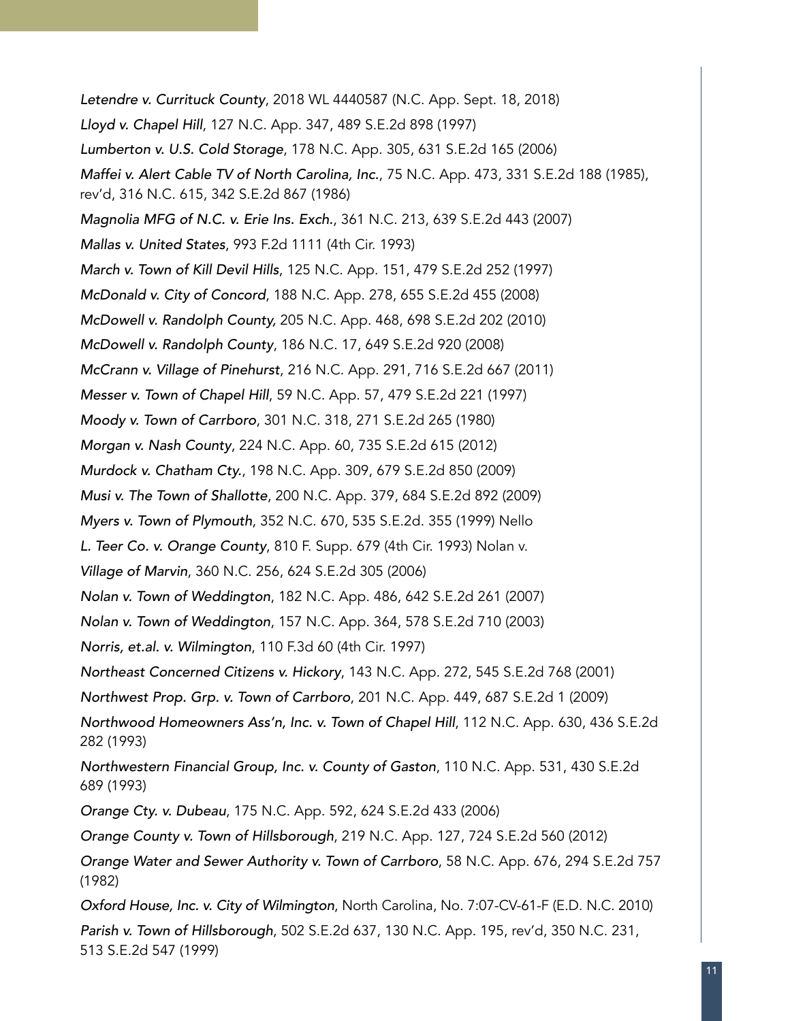Letendre v. Currituck County, 2018 WL 4440587 (N.C. App. Sept. 18, 2018) Lloyd v. Chapel Hill, 127 N.C. App. 347, 489 S.E.2d 898 (1997) Lumberton v. U.S. Cold Storage, 178 N.C. App. 305, 631 S.E.2d 165 (2006) Maffei v. Alert Cable TV of North Carolina, Inc., 75 N.C. App. 473, 331 S.E.2d 188 (1985), rev'd, 316 N.C. 615, 342 S.E.2d 867 (1986) Magnolia MFG of N.C. v. Erie Ins. Exch., 361 N.C. 213, 639 S.E.2d 443 (2007) Mallas v. United States, 993 F.2d 1111 (4th Cir. 1993) March v. Town of Kill Devil Hills, 125 N.C. App. 151, 479 S.E.2d 252 (1997) McDonald v. City of Concord, 188 N.C. App. 278, 655 S.E.2d 455 (2008) McDowell v. Randolph County, 205 N.C. App. 468, 698 S.E.2d 202 (2010) McDowell v. Randolph County, 186 N.C. 17, 649 S.E.2d 920 (2008) McCrann v. Village of Pinehurst, 216 N.C. App. 291, 716 S.E.2d 667 (2011) Messer v. Town of Chapel Hill, 59 N.C. App. 57, 479 S.E.2d 221 (1997) Moody v. Town of Carrboro, 301 N.C. 318, 271 S.E.2d 265 (1980) Morgan v. Nash County, 224 N.C. App. 60, 735 S.E.2d 615 (2012) Murdock v. Chatham Cty., 198 N.C. App. 309, 679 S.E.2d 850 (2009) Musi v. The Town of Shallotte, 200 N.C. App. 379, 684 S.E.2d 892 (2009) Myers v. Town of Plymouth, 352 N.C. 670, 535 S.E.2d. 355 (1999) Nello L. Teer Co. v. Orange County, 810 F. Supp. 679 (4th Cir. 1993) Nolan v. Village of Marvin, 360 N.C. 256, 624 S.E.2d 305 (2006) Nolan v. Town of Weddington, 182 N.C. App. 486, 642 S.E.2d 261 (2007) Nolan v. Town of Weddington, 157 N.C. App. 364, 578 S.E.2d 710 (2003) Norris, et.al. v. Wilmington, 110 F.3d 60 (4th Cir. 1997) Northeast Concerned Citizens v. Hickory, 143 N.C. App. 272, 545 S.E.2d 768 (2001) Northwest Prop. Grp. v. Town of Carrboro, 201 N.C. App. 449, 687 S.E.2d 1 (2009) Northwood Homeowners Ass'n, Inc. v. Town of Chapel Hill, 112 N.C. App. 630, 436 S.E.2d 282 (1993) Northwestern Financial Group, Inc. v. County of Gaston, 110 N.C. App. 531, 430 S.E.2d 689 (1993) Orange Cty. v. Dubeau, 175 N.C. App. 592, 624 S.E.2d 433 (2006) Orange County v. Town of Hillsborough, 219 N.C. App. 127, 724 S.E.2d 560 (2012) Orange Water and Sewer Authority v. Town of Carrboro, 58 N.C. App. 676, 294 S.E.2d 757 (1982) Oxford House, Inc. v. City of Wilmington, North Carolina, No. 7:07-CV-61-F (E.D. N.C. 2010) Parish v. Town of Hillsborough, 502 S.E.2d 637, 130 N.C. App. 195, rev'd, 350 N.C. 231, 513 S.E.2d 547 (1999)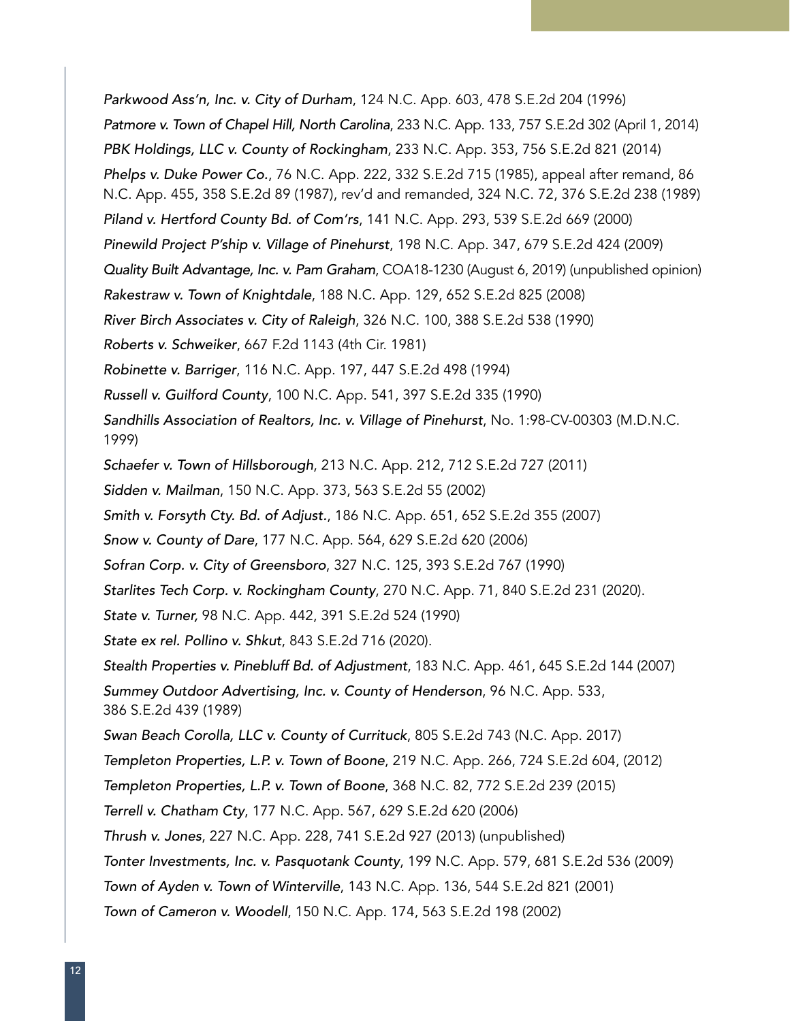Parkwood Ass'n, Inc. v. City of Durham, 124 N.C. App. 603, 478 S.E.2d 204 (1996) Patmore v. Town of Chapel Hill, North Carolina, 233 N.C. App. 133, 757 S.E.2d 302 (April 1, 2014) PBK Holdings, LLC v. County of Rockingham, 233 N.C. App. 353, 756 S.E.2d 821 (2014) Phelps v. Duke Power Co., 76 N.C. App. 222, 332 S.E.2d 715 (1985), appeal after remand, 86 N.C. App. 455, 358 S.E.2d 89 (1987), rev'd and remanded, 324 N.C. 72, 376 S.E.2d 238 (1989) Piland v. Hertford County Bd. of Com'rs, 141 N.C. App. 293, 539 S.E.2d 669 (2000) Pinewild Project P'ship v. Village of Pinehurst, 198 N.C. App. 347, 679 S.E.2d 424 (2009) Quality Built Advantage, Inc. v. Pam Graham, COA18-1230 (August 6, 2019) (unpublished opinion) Rakestraw v. Town of Knightdale, 188 N.C. App. 129, 652 S.E.2d 825 (2008) River Birch Associates v. City of Raleigh, 326 N.C. 100, 388 S.E.2d 538 (1990) Roberts v. Schweiker, 667 F.2d 1143 (4th Cir. 1981) Robinette v. Barriger, 116 N.C. App. 197, 447 S.E.2d 498 (1994) Russell v. Guilford County, 100 N.C. App. 541, 397 S.E.2d 335 (1990) Sandhills Association of Realtors, Inc. v. Village of Pinehurst, No. 1:98-CV-00303 (M.D.N.C. 1999) Schaefer v. Town of Hillsborough, 213 N.C. App. 212, 712 S.E.2d 727 (2011) Sidden v. Mailman, 150 N.C. App. 373, 563 S.E.2d 55 (2002) Smith v. Forsyth Cty. Bd. of Adjust., 186 N.C. App. 651, 652 S.E.2d 355 (2007) Snow v. County of Dare, 177 N.C. App. 564, 629 S.E.2d 620 (2006) Sofran Corp. v. City of Greensboro, 327 N.C. 125, 393 S.E.2d 767 (1990) Starlites Tech Corp. v. Rockingham County, 270 N.C. App. 71, 840 S.E.2d 231 (2020). State v. Turner, 98 N.C. App. 442, 391 S.E.2d 524 (1990) State ex rel. Pollino v. Shkut, 843 S.E.2d 716 (2020). Stealth Properties v. Pinebluff Bd. of Adjustment, 183 N.C. App. 461, 645 S.E.2d 144 (2007) Summey Outdoor Advertising, Inc. v. County of Henderson, 96 N.C. App. 533, 386 S.E.2d 439 (1989) Swan Beach Corolla, LLC v. County of Currituck, 805 S.E.2d 743 (N.C. App. 2017) Templeton Properties, L.P. v. Town of Boone, 219 N.C. App. 266, 724 S.E.2d 604, (2012) Templeton Properties, L.P. v. Town of Boone, 368 N.C. 82, 772 S.E.2d 239 (2015) Terrell v. Chatham Cty, 177 N.C. App. 567, 629 S.E.2d 620 (2006) Thrush v. Jones, 227 N.C. App. 228, 741 S.E.2d 927 (2013) (unpublished) Tonter Investments, Inc. v. Pasquotank County, 199 N.C. App. 579, 681 S.E.2d 536 (2009) Town of Ayden v. Town of Winterville, 143 N.C. App. 136, 544 S.E.2d 821 (2001) Town of Cameron v. Woodell, 150 N.C. App. 174, 563 S.E.2d 198 (2002)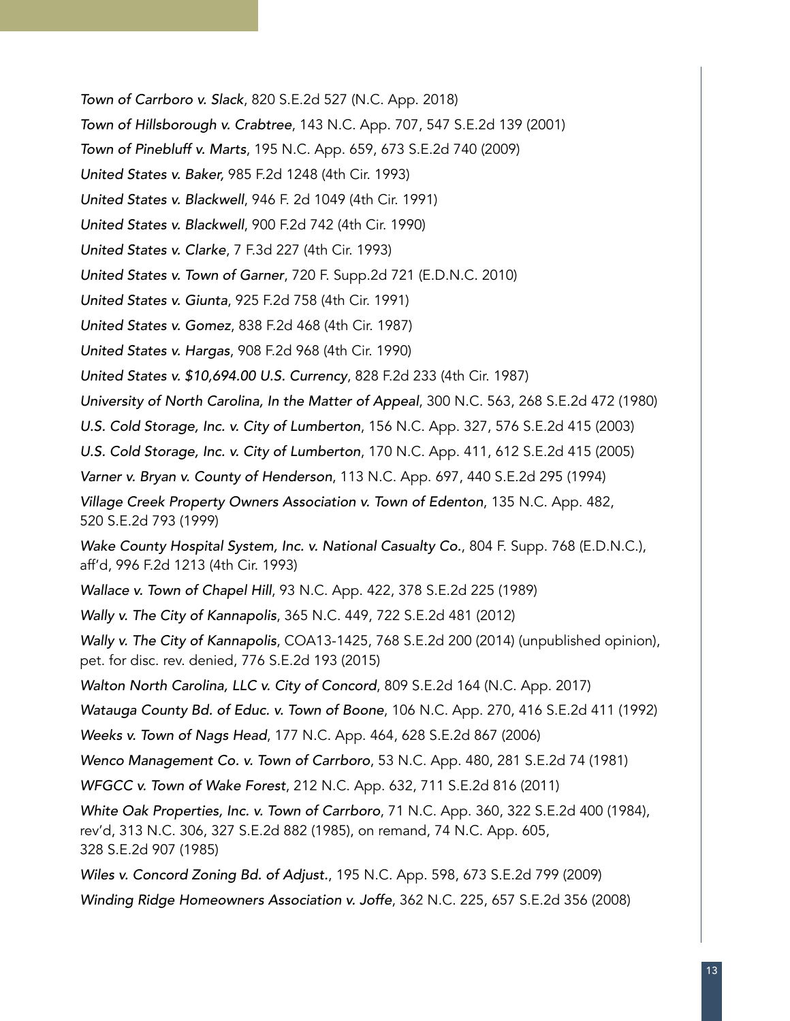Town of Carrboro v. Slack, 820 S.E.2d 527 (N.C. App. 2018)

Town of Hillsborough v. Crabtree, 143 N.C. App. 707, 547 S.E.2d 139 (2001)

Town of Pinebluff v. Marts, 195 N.C. App. 659, 673 S.E.2d 740 (2009)

United States v. Baker, 985 F.2d 1248 (4th Cir. 1993)

United States v. Blackwell, 946 F. 2d 1049 (4th Cir. 1991)

United States v. Blackwell, 900 F.2d 742 (4th Cir. 1990)

United States v. Clarke, 7 F.3d 227 (4th Cir. 1993)

United States v. Town of Garner, 720 F. Supp.2d 721 (E.D.N.C. 2010)

United States v. Giunta, 925 F.2d 758 (4th Cir. 1991)

United States v. Gomez, 838 F.2d 468 (4th Cir. 1987)

United States v. Hargas, 908 F.2d 968 (4th Cir. 1990)

United States v. \$10,694.00 U.S. Currency, 828 F.2d 233 (4th Cir. 1987)

University of North Carolina, In the Matter of Appeal, 300 N.C. 563, 268 S.E.2d 472 (1980)

U.S. Cold Storage, Inc. v. City of Lumberton, 156 N.C. App. 327, 576 S.E.2d 415 (2003)

U.S. Cold Storage, Inc. v. City of Lumberton, 170 N.C. App. 411, 612 S.E.2d 415 (2005)

Varner v. Bryan v. County of Henderson, 113 N.C. App. 697, 440 S.E.2d 295 (1994)

Village Creek Property Owners Association v. Town of Edenton, 135 N.C. App. 482, 520 S.E.2d 793 (1999)

Wake County Hospital System, Inc. v. National Casualty Co., 804 F. Supp. 768 (E.D.N.C.), aff'd, 996 F.2d 1213 (4th Cir. 1993)

Wallace v. Town of Chapel Hill, 93 N.C. App. 422, 378 S.E.2d 225 (1989)

Wally v. The City of Kannapolis, 365 N.C. 449, 722 S.E.2d 481 (2012)

Wally v. The City of Kannapolis, COA13-1425, 768 S.E.2d 200 (2014) (unpublished opinion), pet. for disc. rev. denied, 776 S.E.2d 193 (2015)

Walton North Carolina, LLC v. City of Concord, 809 S.E.2d 164 (N.C. App. 2017)

Watauga County Bd. of Educ. v. Town of Boone, 106 N.C. App. 270, 416 S.E.2d 411 (1992)

Weeks v. Town of Nags Head, 177 N.C. App. 464, 628 S.E.2d 867 (2006)

Wenco Management Co. v. Town of Carrboro, 53 N.C. App. 480, 281 S.E.2d 74 (1981)

WFGCC v. Town of Wake Forest, 212 N.C. App. 632, 711 S.E.2d 816 (2011)

White Oak Properties, Inc. v. Town of Carrboro, 71 N.C. App. 360, 322 S.E.2d 400 (1984), rev'd, 313 N.C. 306, 327 S.E.2d 882 (1985), on remand, 74 N.C. App. 605, 328 S.E.2d 907 (1985)

Wiles v. Concord Zoning Bd. of Adjust., 195 N.C. App. 598, 673 S.E.2d 799 (2009)

Winding Ridge Homeowners Association v. Joffe, 362 N.C. 225, 657 S.E.2d 356 (2008)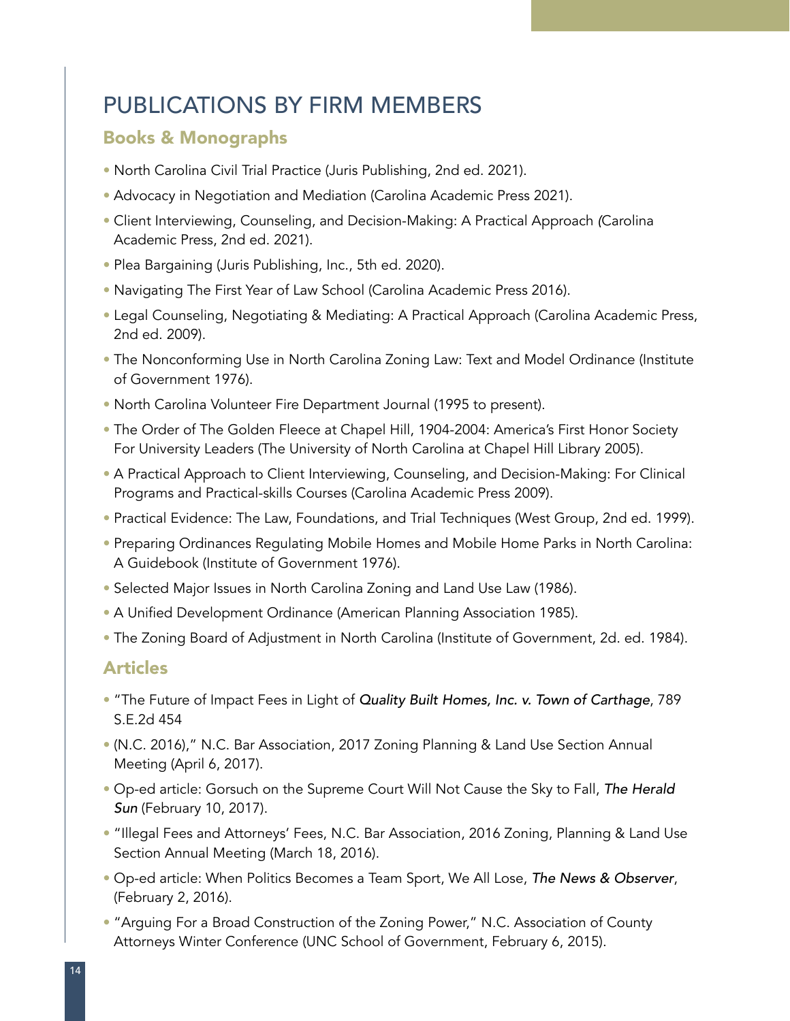## PUBLICATIONS BY FIRM MEMBERS

#### Books & Monographs

- North Carolina Civil Trial Practice (Juris Publishing, 2nd ed. 2021).
- Advocacy in Negotiation and Mediation (Carolina Academic Press 2021).
- Client Interviewing, Counseling, and Decision-Making: A Practical Approach *(*Carolina Academic Press, 2nd ed. 2021).
- Plea Bargaining (Juris Publishing, Inc., 5th ed. 2020).
- Navigating The First Year of Law School (Carolina Academic Press 2016).
- Legal Counseling, Negotiating & Mediating: A Practical Approach (Carolina Academic Press, 2nd ed. 2009).
- The Nonconforming Use in North Carolina Zoning Law: Text and Model Ordinance (Institute of Government 1976).
- North Carolina Volunteer Fire Department Journal (1995 to present).
- The Order of The Golden Fleece at Chapel Hill, 1904-2004: America's First Honor Society For University Leaders (The University of North Carolina at Chapel Hill Library 2005).
- A Practical Approach to Client Interviewing, Counseling, and Decision-Making: For Clinical Programs and Practical-skills Courses (Carolina Academic Press 2009).
- Practical Evidence: The Law, Foundations, and Trial Techniques (West Group, 2nd ed. 1999).
- Preparing Ordinances Regulating Mobile Homes and Mobile Home Parks in North Carolina: A Guidebook (Institute of Government 1976).
- Selected Major Issues in North Carolina Zoning and Land Use Law (1986).
- A Unified Development Ordinance (American Planning Association 1985).
- The Zoning Board of Adjustment in North Carolina (Institute of Government, 2d. ed. 1984).

#### Articles

- "The Future of Impact Fees in Light of Quality Built Homes, Inc. v. Town of Carthage, 789 S.E.2d 454
- (N.C. 2016)," N.C. Bar Association, 2017 Zoning Planning & Land Use Section Annual Meeting (April 6, 2017).
- Op-ed article: Gorsuch on the Supreme Court Will Not Cause the Sky to Fall, The Herald Sun (February 10, 2017).
- "Illegal Fees and Attorneys' Fees, N.C. Bar Association, 2016 Zoning, Planning & Land Use Section Annual Meeting (March 18, 2016).
- Op-ed article: When Politics Becomes a Team Sport, We All Lose, The News & Observer, (February 2, 2016).
- "Arguing For a Broad Construction of the Zoning Power," N.C. Association of County Attorneys Winter Conference (UNC School of Government, February 6, 2015).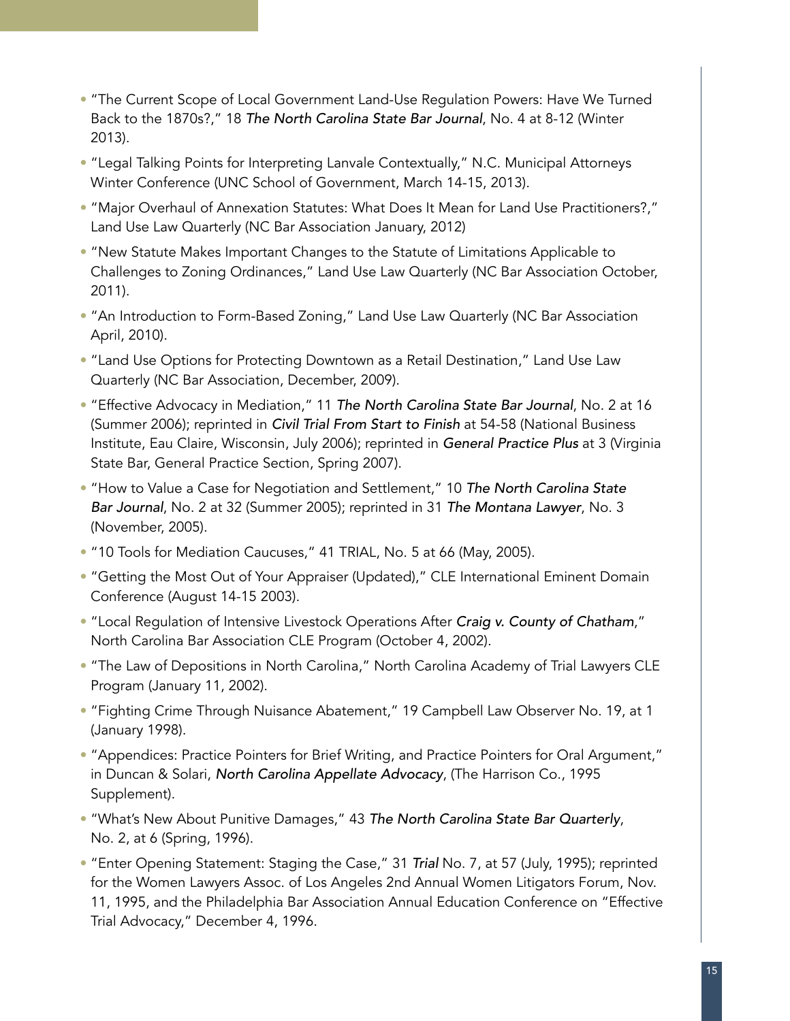- "The Current Scope of Local Government Land-Use Regulation Powers: Have We Turned Back to the 1870s?," 18 The North Carolina State Bar Journal, No. 4 at 8-12 (Winter 2013).
- "Legal Talking Points for Interpreting Lanvale Contextually," N.C. Municipal Attorneys Winter Conference (UNC School of Government, March 14-15, 2013).
- "Major Overhaul of Annexation Statutes: What Does It Mean for Land Use Practitioners?," Land Use Law Quarterly (NC Bar Association January, 2012)
- "New Statute Makes Important Changes to the Statute of Limitations Applicable to Challenges to Zoning Ordinances," Land Use Law Quarterly (NC Bar Association October, 2011).
- "An Introduction to Form-Based Zoning," Land Use Law Quarterly (NC Bar Association April, 2010).
- "Land Use Options for Protecting Downtown as a Retail Destination," Land Use Law Quarterly (NC Bar Association, December, 2009).
- "Effective Advocacy in Mediation," 11 The North Carolina State Bar Journal, No. 2 at 16 (Summer 2006); reprinted in Civil Trial From Start to Finish at 54-58 (National Business Institute, Eau Claire, Wisconsin, July 2006); reprinted in General Practice Plus at 3 (Virginia State Bar, General Practice Section, Spring 2007).
- "How to Value a Case for Negotiation and Settlement," 10 The North Carolina State Bar Journal, No. 2 at 32 (Summer 2005); reprinted in 31 The Montana Lawyer, No. 3 (November, 2005).
- "10 Tools for Mediation Caucuses," 41 TRIAL, No. 5 at 66 (May, 2005).
- "Getting the Most Out of Your Appraiser (Updated)," CLE International Eminent Domain Conference (August 14-15 2003).
- "Local Regulation of Intensive Livestock Operations After Craig v. County of Chatham," North Carolina Bar Association CLE Program (October 4, 2002).
- "The Law of Depositions in North Carolina," North Carolina Academy of Trial Lawyers CLE Program (January 11, 2002).
- "Fighting Crime Through Nuisance Abatement," 19 Campbell Law Observer No. 19, at 1 (January 1998).
- "Appendices: Practice Pointers for Brief Writing, and Practice Pointers for Oral Argument," in Duncan & Solari, North Carolina Appellate Advocacy, (The Harrison Co., 1995 Supplement).
- "What's New About Punitive Damages," 43 The North Carolina State Bar Quarterly, No. 2, at 6 (Spring, 1996).
- "Enter Opening Statement: Staging the Case," 31 Trial No. 7, at 57 (July, 1995); reprinted for the Women Lawyers Assoc. of Los Angeles 2nd Annual Women Litigators Forum, Nov. 11, 1995, and the Philadelphia Bar Association Annual Education Conference on "Effective Trial Advocacy," December 4, 1996.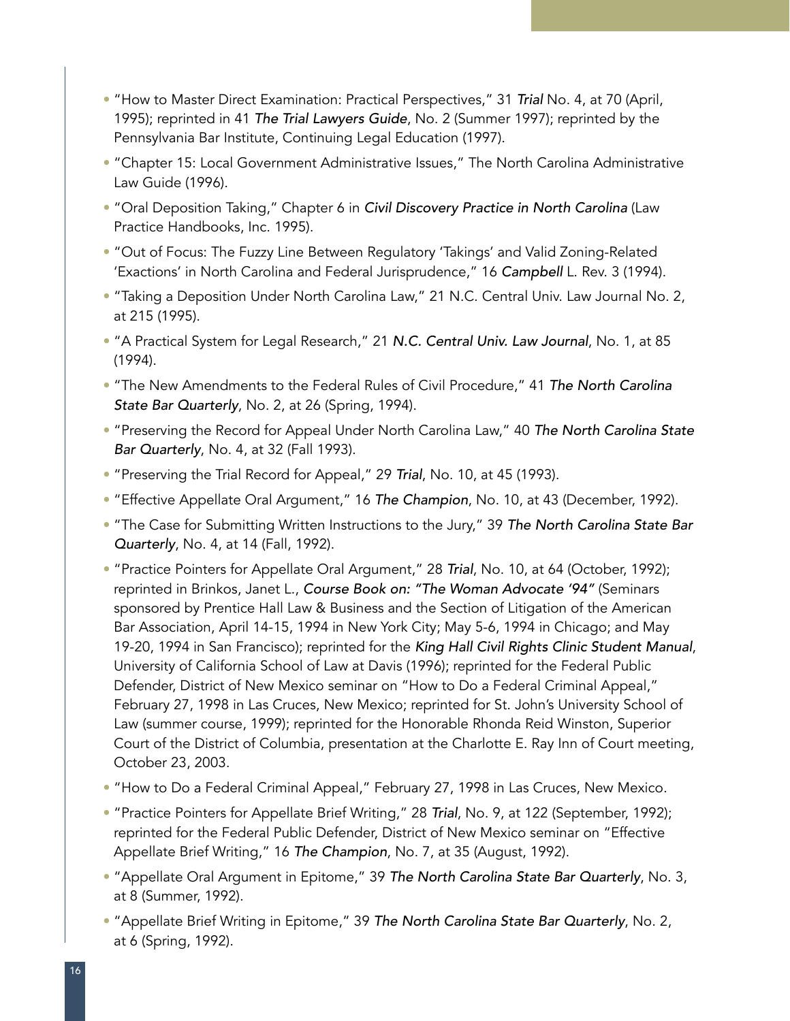- "How to Master Direct Examination: Practical Perspectives," 31 Trial No. 4, at 70 (April, 1995); reprinted in 41 The Trial Lawyers Guide, No. 2 (Summer 1997); reprinted by the Pennsylvania Bar Institute, Continuing Legal Education (1997).
- "Chapter 15: Local Government Administrative Issues," The North Carolina Administrative Law Guide (1996).
- "Oral Deposition Taking," Chapter 6 in Civil Discovery Practice in North Carolina (Law Practice Handbooks, Inc. 1995).
- "Out of Focus: The Fuzzy Line Between Regulatory 'Takings' and Valid Zoning-Related 'Exactions' in North Carolina and Federal Jurisprudence," 16 Campbell L. Rev. 3 (1994).
- "Taking a Deposition Under North Carolina Law," 21 N.C. Central Univ. Law Journal No. 2, at 215 (1995).
- "A Practical System for Legal Research," 21 N.C. Central Univ. Law Journal, No. 1, at 85 (1994).
- "The New Amendments to the Federal Rules of Civil Procedure," 41 The North Carolina State Bar Quarterly, No. 2, at 26 (Spring, 1994).
- "Preserving the Record for Appeal Under North Carolina Law," 40 The North Carolina State Bar Quarterly, No. 4, at 32 (Fall 1993).
- "Preserving the Trial Record for Appeal," 29 Trial, No. 10, at 45 (1993).
- "Effective Appellate Oral Argument," 16 The Champion, No. 10, at 43 (December, 1992).
- "The Case for Submitting Written Instructions to the Jury," 39 The North Carolina State Bar Quarterly, No. 4, at 14 (Fall, 1992).
- "Practice Pointers for Appellate Oral Argument," 28 Trial, No. 10, at 64 (October, 1992); reprinted in Brinkos, Janet L., Course Book on: "The Woman Advocate '94" (Seminars sponsored by Prentice Hall Law & Business and the Section of Litigation of the American Bar Association, April 14-15, 1994 in New York City; May 5-6, 1994 in Chicago; and May 19-20, 1994 in San Francisco); reprinted for the King Hall Civil Rights Clinic Student Manual, University of California School of Law at Davis (1996); reprinted for the Federal Public Defender, District of New Mexico seminar on "How to Do a Federal Criminal Appeal," February 27, 1998 in Las Cruces, New Mexico; reprinted for St. John's University School of Law (summer course, 1999); reprinted for the Honorable Rhonda Reid Winston, Superior Court of the District of Columbia, presentation at the Charlotte E. Ray Inn of Court meeting, October 23, 2003.
- "How to Do a Federal Criminal Appeal," February 27, 1998 in Las Cruces, New Mexico.
- "Practice Pointers for Appellate Brief Writing," 28 Trial, No. 9, at 122 (September, 1992); reprinted for the Federal Public Defender, District of New Mexico seminar on "Effective Appellate Brief Writing," 16 The Champion, No. 7, at 35 (August, 1992).
- "Appellate Oral Argument in Epitome," 39 The North Carolina State Bar Quarterly, No. 3, at 8 (Summer, 1992).
- "Appellate Brief Writing in Epitome," 39 The North Carolina State Bar Quarterly, No. 2, at 6 (Spring, 1992).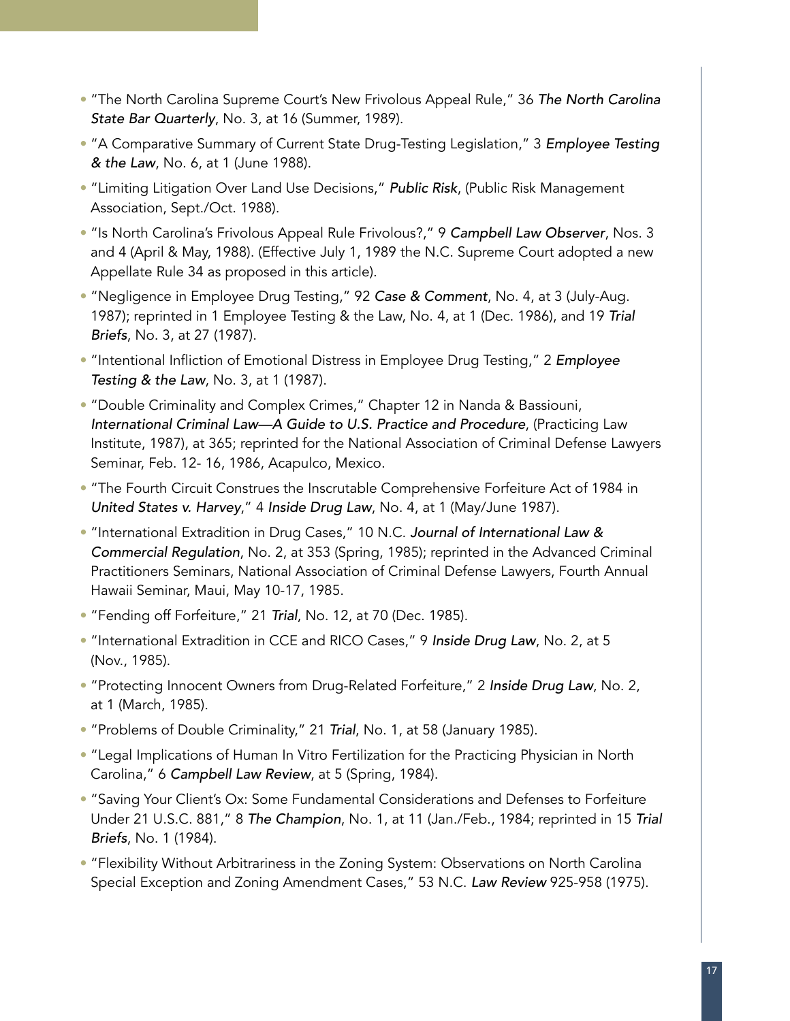- "The North Carolina Supreme Court's New Frivolous Appeal Rule," 36 The North Carolina State Bar Quarterly, No. 3, at 16 (Summer, 1989).
- "A Comparative Summary of Current State Drug-Testing Legislation," 3 Employee Testing & the Law, No. 6, at 1 (June 1988).
- "Limiting Litigation Over Land Use Decisions," Public Risk, (Public Risk Management Association, Sept./Oct. 1988).
- "Is North Carolina's Frivolous Appeal Rule Frivolous?," 9 Campbell Law Observer, Nos. 3 and 4 (April & May, 1988). (Effective July 1, 1989 the N.C. Supreme Court adopted a new Appellate Rule 34 as proposed in this article).
- "Negligence in Employee Drug Testing," 92 Case & Comment, No. 4, at 3 (July-Aug. 1987); reprinted in 1 Employee Testing & the Law, No. 4, at 1 (Dec. 1986), and 19 Trial Briefs, No. 3, at 27 (1987).
- "Intentional Infliction of Emotional Distress in Employee Drug Testing," 2 Employee Testing & the Law, No. 3, at 1 (1987).
- "Double Criminality and Complex Crimes," Chapter 12 in Nanda & Bassiouni, International Criminal Law—A Guide to U.S. Practice and Procedure, (Practicing Law Institute, 1987), at 365; reprinted for the National Association of Criminal Defense Lawyers Seminar, Feb. 12- 16, 1986, Acapulco, Mexico.
- "The Fourth Circuit Construes the Inscrutable Comprehensive Forfeiture Act of 1984 in United States v. Harvey," 4 Inside Drug Law, No. 4, at 1 (May/June 1987).
- "International Extradition in Drug Cases," 10 N.C. Journal of International Law & Commercial Regulation, No. 2, at 353 (Spring, 1985); reprinted in the Advanced Criminal Practitioners Seminars, National Association of Criminal Defense Lawyers, Fourth Annual Hawaii Seminar, Maui, May 10-17, 1985.
- "Fending off Forfeiture," 21 Trial, No. 12, at 70 (Dec. 1985).
- "International Extradition in CCE and RICO Cases," 9 Inside Drug Law, No. 2, at 5 (Nov., 1985).
- "Protecting Innocent Owners from Drug-Related Forfeiture," 2 Inside Drug Law, No. 2, at 1 (March, 1985).
- "Problems of Double Criminality," 21 Trial, No. 1, at 58 (January 1985).
- "Legal Implications of Human In Vitro Fertilization for the Practicing Physician in North Carolina," 6 Campbell Law Review, at 5 (Spring, 1984).
- "Saving Your Client's Ox: Some Fundamental Considerations and Defenses to Forfeiture Under 21 U.S.C. 881," 8 The Champion, No. 1, at 11 (Jan./Feb., 1984; reprinted in 15 Trial Briefs, No. 1 (1984).
- "Flexibility Without Arbitrariness in the Zoning System: Observations on North Carolina Special Exception and Zoning Amendment Cases," 53 N.C. Law Review 925-958 (1975).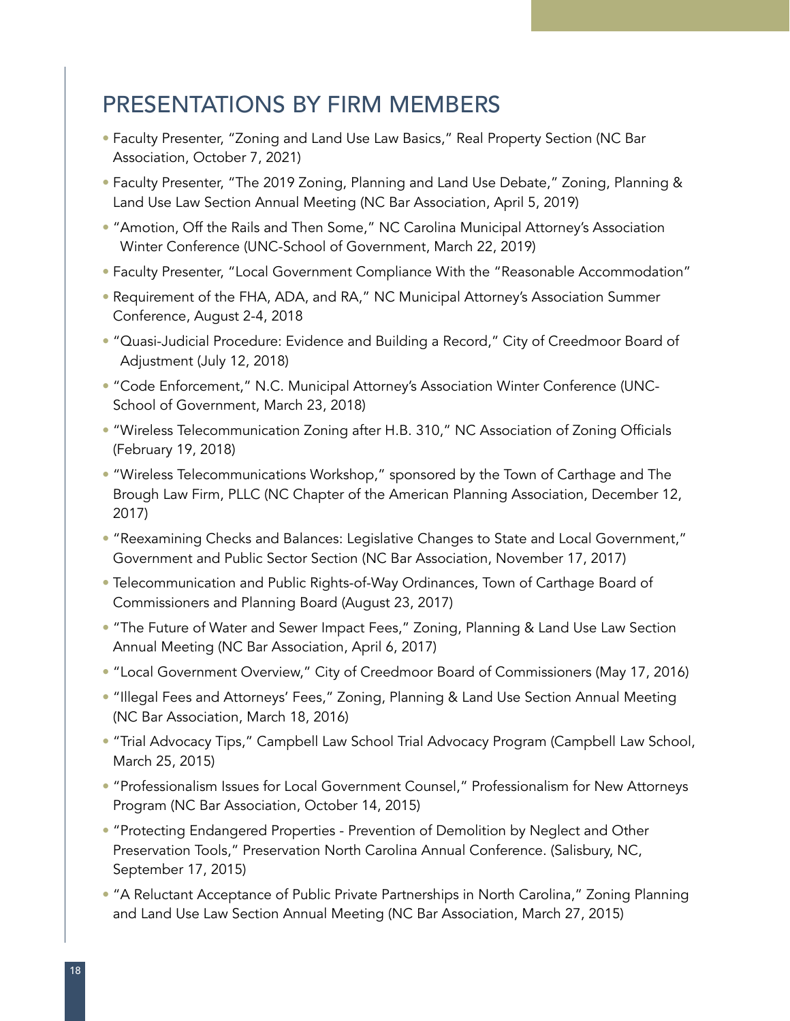#### PRESENTATIONS BY FIRM MEMBERS

- Faculty Presenter, "Zoning and Land Use Law Basics," Real Property Section (NC Bar Association, October 7, 2021)
- Faculty Presenter, "The 2019 Zoning, Planning and Land Use Debate," Zoning, Planning & Land Use Law Section Annual Meeting (NC Bar Association, April 5, 2019)
- "Amotion, Off the Rails and Then Some," NC Carolina Municipal Attorney's Association Winter Conference (UNC-School of Government, March 22, 2019)
- Faculty Presenter, "Local Government Compliance With the "Reasonable Accommodation"
- Requirement of the FHA, ADA, and RA," NC Municipal Attorney's Association Summer Conference, August 2-4, 2018
- "Quasi-Judicial Procedure: Evidence and Building a Record," City of Creedmoor Board of Adjustment (July 12, 2018)
- "Code Enforcement," N.C. Municipal Attorney's Association Winter Conference (UNC-School of Government, March 23, 2018)
- "Wireless Telecommunication Zoning after H.B. 310," NC Association of Zoning Officials (February 19, 2018)
- "Wireless Telecommunications Workshop," sponsored by the Town of Carthage and The Brough Law Firm, PLLC (NC Chapter of the American Planning Association, December 12, 2017)
- "Reexamining Checks and Balances: Legislative Changes to State and Local Government," Government and Public Sector Section (NC Bar Association, November 17, 2017)
- Telecommunication and Public Rights-of-Way Ordinances, Town of Carthage Board of Commissioners and Planning Board (August 23, 2017)
- "The Future of Water and Sewer Impact Fees," Zoning, Planning & Land Use Law Section Annual Meeting (NC Bar Association, April 6, 2017)
- "Local Government Overview," City of Creedmoor Board of Commissioners (May 17, 2016)
- "Illegal Fees and Attorneys' Fees," Zoning, Planning & Land Use Section Annual Meeting (NC Bar Association, March 18, 2016)
- "Trial Advocacy Tips," Campbell Law School Trial Advocacy Program (Campbell Law School, March 25, 2015)
- "Professionalism Issues for Local Government Counsel," Professionalism for New Attorneys Program (NC Bar Association, October 14, 2015)
- "Protecting Endangered Properties Prevention of Demolition by Neglect and Other Preservation Tools," Preservation North Carolina Annual Conference. (Salisbury, NC, September 17, 2015)
- "A Reluctant Acceptance of Public Private Partnerships in North Carolina," Zoning Planning and Land Use Law Section Annual Meeting (NC Bar Association, March 27, 2015)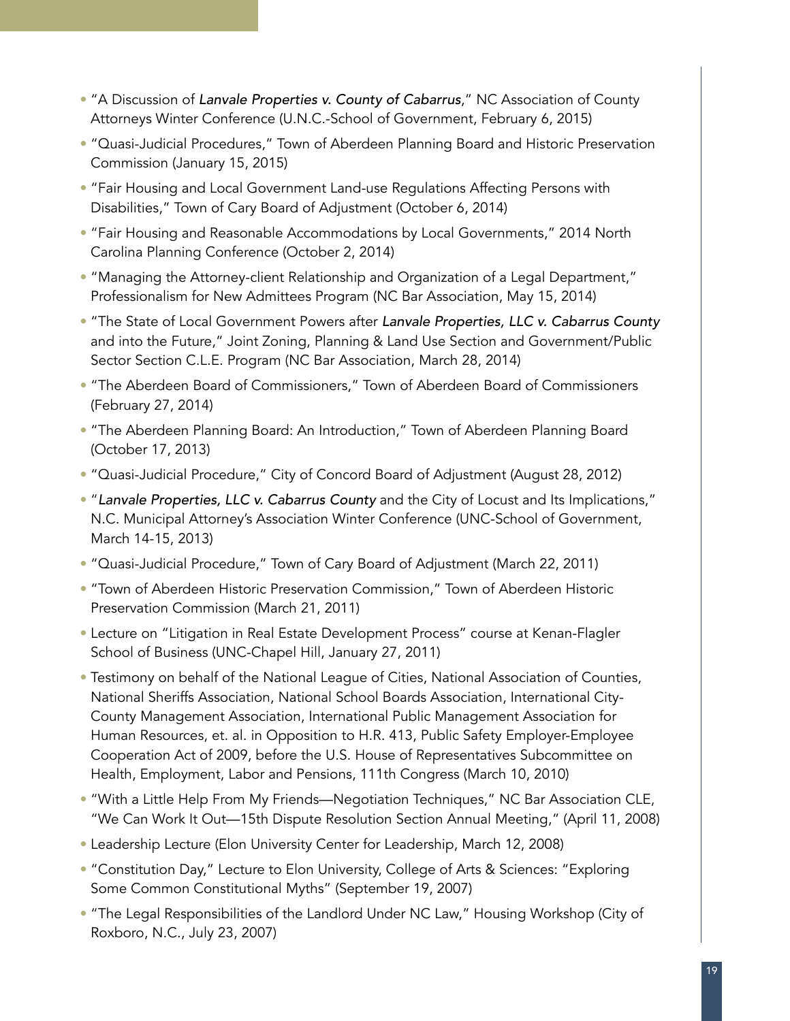- "A Discussion of Lanvale Properties v. County of Cabarrus," NC Association of County Attorneys Winter Conference (U.N.C.-School of Government, February 6, 2015)
- "Quasi-Judicial Procedures," Town of Aberdeen Planning Board and Historic Preservation Commission (January 15, 2015)
- "Fair Housing and Local Government Land-use Regulations Affecting Persons with Disabilities," Town of Cary Board of Adjustment (October 6, 2014)
- "Fair Housing and Reasonable Accommodations by Local Governments," 2014 North Carolina Planning Conference (October 2, 2014)
- "Managing the Attorney-client Relationship and Organization of a Legal Department," Professionalism for New Admittees Program (NC Bar Association, May 15, 2014)
- "The State of Local Government Powers after Lanvale Properties, LLC v. Cabarrus County and into the Future," Joint Zoning, Planning & Land Use Section and Government/Public Sector Section C.L.E. Program (NC Bar Association, March 28, 2014)
- "The Aberdeen Board of Commissioners," Town of Aberdeen Board of Commissioners (February 27, 2014)
- "The Aberdeen Planning Board: An Introduction," Town of Aberdeen Planning Board (October 17, 2013)
- "Quasi-Judicial Procedure," City of Concord Board of Adjustment (August 28, 2012)
- "Lanvale Properties, LLC v. Cabarrus County and the City of Locust and Its Implications," N.C. Municipal Attorney's Association Winter Conference (UNC-School of Government, March 14-15, 2013)
- "Quasi-Judicial Procedure," Town of Cary Board of Adjustment (March 22, 2011)
- "Town of Aberdeen Historic Preservation Commission," Town of Aberdeen Historic Preservation Commission (March 21, 2011)
- Lecture on "Litigation in Real Estate Development Process" course at Kenan-Flagler School of Business (UNC-Chapel Hill, January 27, 2011)
- Testimony on behalf of the National League of Cities, National Association of Counties, National Sheriffs Association, National School Boards Association, International City-County Management Association, International Public Management Association for Human Resources, et. al. in Opposition to H.R. 413, Public Safety Employer-Employee Cooperation Act of 2009, before the U.S. House of Representatives Subcommittee on Health, Employment, Labor and Pensions, 111th Congress (March 10, 2010)
- "With a Little Help From My Friends—Negotiation Techniques," NC Bar Association CLE, "We Can Work It Out—15th Dispute Resolution Section Annual Meeting," (April 11, 2008)
- Leadership Lecture (Elon University Center for Leadership, March 12, 2008)
- "Constitution Day," Lecture to Elon University, College of Arts & Sciences: "Exploring Some Common Constitutional Myths" (September 19, 2007)
- "The Legal Responsibilities of the Landlord Under NC Law," Housing Workshop (City of Roxboro, N.C., July 23, 2007)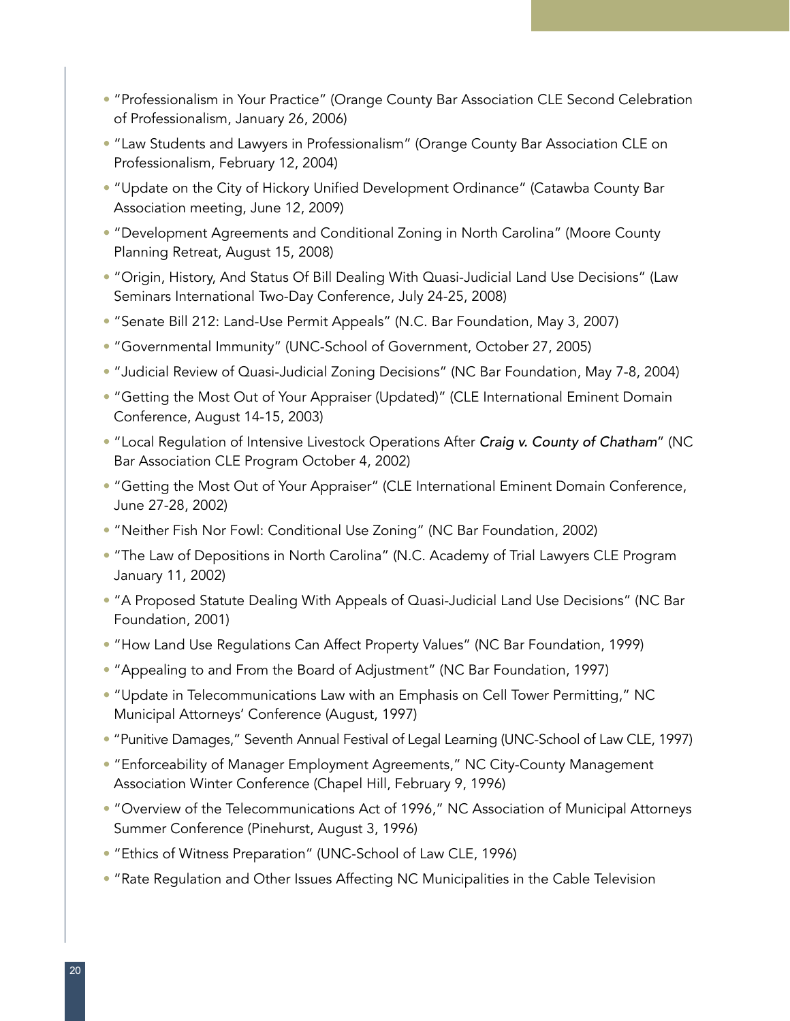- "Professionalism in Your Practice" (Orange County Bar Association CLE Second Celebration of Professionalism, January 26, 2006)
- "Law Students and Lawyers in Professionalism" (Orange County Bar Association CLE on Professionalism, February 12, 2004)
- "Update on the City of Hickory Unified Development Ordinance" (Catawba County Bar Association meeting, June 12, 2009)
- "Development Agreements and Conditional Zoning in North Carolina" (Moore County Planning Retreat, August 15, 2008)
- "Origin, History, And Status Of Bill Dealing With Quasi-Judicial Land Use Decisions" (Law Seminars International Two-Day Conference, July 24-25, 2008)
- "Senate Bill 212: Land-Use Permit Appeals" (N.C. Bar Foundation, May 3, 2007)
- "Governmental Immunity" (UNC-School of Government, October 27, 2005)
- "Judicial Review of Quasi-Judicial Zoning Decisions" (NC Bar Foundation, May 7-8, 2004)
- "Getting the Most Out of Your Appraiser (Updated)" (CLE International Eminent Domain Conference, August 14-15, 2003)
- "Local Regulation of Intensive Livestock Operations After Craig v. County of Chatham" (NC Bar Association CLE Program October 4, 2002)
- "Getting the Most Out of Your Appraiser" (CLE International Eminent Domain Conference, June 27-28, 2002)
- "Neither Fish Nor Fowl: Conditional Use Zoning" (NC Bar Foundation, 2002)
- "The Law of Depositions in North Carolina" (N.C. Academy of Trial Lawyers CLE Program January 11, 2002)
- "A Proposed Statute Dealing With Appeals of Quasi-Judicial Land Use Decisions" (NC Bar Foundation, 2001)
- "How Land Use Regulations Can Affect Property Values" (NC Bar Foundation, 1999)
- "Appealing to and From the Board of Adjustment" (NC Bar Foundation, 1997)
- "Update in Telecommunications Law with an Emphasis on Cell Tower Permitting," NC Municipal Attorneys' Conference (August, 1997)
- "Punitive Damages," Seventh Annual Festival of Legal Learning (UNC-School of Law CLE, 1997)
- "Enforceability of Manager Employment Agreements," NC City-County Management Association Winter Conference (Chapel Hill, February 9, 1996)
- "Overview of the Telecommunications Act of 1996," NC Association of Municipal Attorneys Summer Conference (Pinehurst, August 3, 1996)
- "Ethics of Witness Preparation" (UNC-School of Law CLE, 1996)
- "Rate Regulation and Other Issues Affecting NC Municipalities in the Cable Television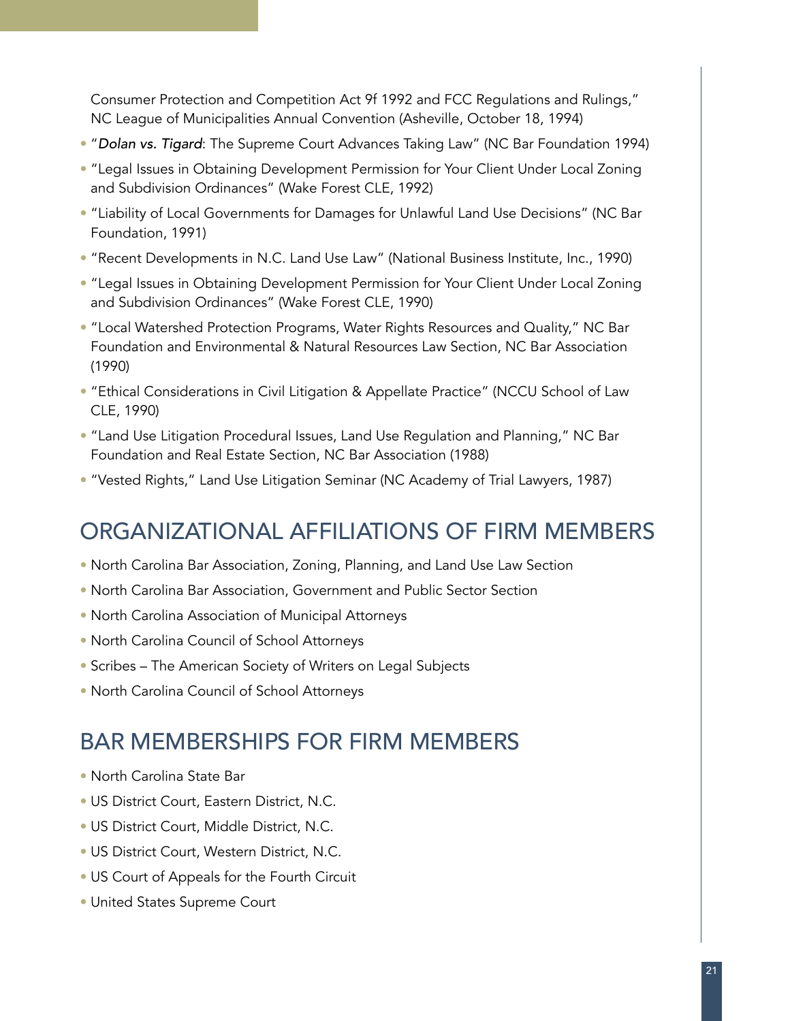Consumer Protection and Competition Act 9f 1992 and FCC Regulations and Rulings," NC League of Municipalities Annual Convention (Asheville, October 18, 1994)

- "Dolan vs. Tigard: The Supreme Court Advances Taking Law" (NC Bar Foundation 1994)
- "Legal Issues in Obtaining Development Permission for Your Client Under Local Zoning and Subdivision Ordinances" (Wake Forest CLE, 1992)
- "Liability of Local Governments for Damages for Unlawful Land Use Decisions" (NC Bar Foundation, 1991)
- "Recent Developments in N.C. Land Use Law" (National Business Institute, Inc., 1990)
- "Legal Issues in Obtaining Development Permission for Your Client Under Local Zoning and Subdivision Ordinances" (Wake Forest CLE, 1990)
- "Local Watershed Protection Programs, Water Rights Resources and Quality," NC Bar Foundation and Environmental & Natural Resources Law Section, NC Bar Association (1990)
- "Ethical Considerations in Civil Litigation & Appellate Practice" (NCCU School of Law CLE, 1990)
- "Land Use Litigation Procedural Issues, Land Use Regulation and Planning," NC Bar Foundation and Real Estate Section, NC Bar Association (1988)
- "Vested Rights," Land Use Litigation Seminar (NC Academy of Trial Lawyers, 1987)

# ORGANIZATIONAL AFFILIATIONS OF FIRM MEMBERS

- North Carolina Bar Association, Zoning, Planning, and Land Use Law Section
- North Carolina Bar Association, Government and Public Sector Section
- North Carolina Association of Municipal Attorneys
- North Carolina Council of School Attorneys
- Scribes The American Society of Writers on Legal Subjects
- North Carolina Council of School Attorneys

## BAR MEMBERSHIPS FOR FIRM MEMBERS

- North Carolina State Bar
- US District Court, Eastern District, N.C.
- US District Court, Middle District, N.C.
- US District Court, Western District, N.C.
- US Court of Appeals for the Fourth Circuit
- United States Supreme Court